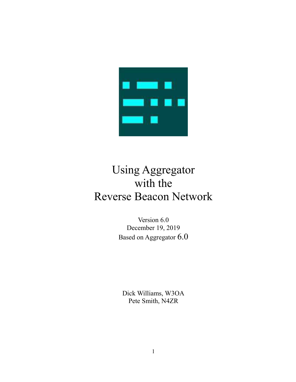

# Using Aggregator with the Reverse Beacon Network

Version 6.0 December 19, 2019 Based on Aggregator 6.0

Dick Williams, W3OA Pete Smith, N4ZR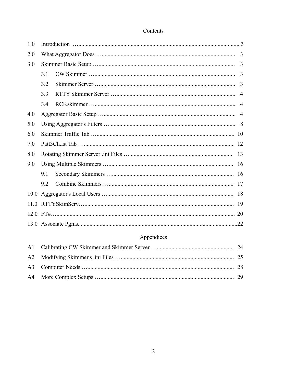# Contents

| 1.0  |     |                |
|------|-----|----------------|
| 2.0  |     | 3              |
| 3.0  |     | 3              |
|      | 3.1 | 3              |
|      | 3.2 | 3              |
|      | 3.3 | 4              |
|      | 3.4 | $\overline{4}$ |
| 4.0  |     | $\overline{4}$ |
| 5.0  |     |                |
| 6.0  |     |                |
| 7.0  |     |                |
| 8.0  |     |                |
| 9.0  |     |                |
|      | 9.1 |                |
|      | 9.2 |                |
| 10.0 |     |                |
| 11.0 |     |                |
|      |     |                |
|      |     | .22            |

# Appendices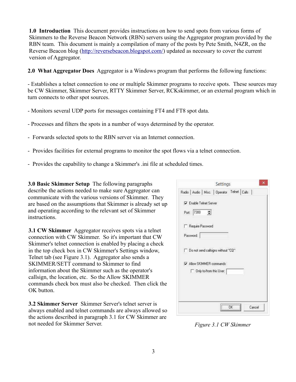**1.0 Introduction** This document provides instructions on how to send spots from various forms of Skimmers to the Reverse Beacon Network (RBN) servers using the Aggregator program provided by the RBN team. This document is mainly a compilation of many of the posts by Pete Smith, N4ZR, on the Reverse Beacon blog [\(http://reversebeacon.blogspot.com/\)](http://reversebeacon.blogspot.com/) updated as necessary to cover the current version of Aggregator.

**2.0 What Aggregator Does** Aggregator is a Windows program that performs the following functions:

- Establishes a telnet connection to one or multiple Skimmer programs to receive spots. These sources may be CW Skimmer, Skimmer Server, RTTY Skimmer Server, RCKskimmer, or an external program which in turn connects to other spot sources.

- Monitors several UDP ports for messages containing FT4 and FT8 spot data.

- Processes and filters the spots in a number of ways determined by the operator.
- Forwards selected spots to the RBN server via an Internet connection.
- Provides facilities for external programs to monitor the spot flows via a telnet connection.
- Provides the capability to change a Skimmer's .ini file at scheduled times.

**3.0 Basic Skimmer Setup** The following paragraphs describe the actions needed to make sure Aggregator can communicate with the various versions of Skimmer. They are based on the assumptions that Skimmer is already set up and operating according to the relevant set of Skimmer instructions.

**3.1 CW Skimmer** Aggregator receives spots via a telnet connection with CW Skimmer. So it's important that CW Skimmer's telnet connection is enabled by placing a check in the top check box in CW Skimmer's Settings window, Telnet tab (see Figure 3.1). Aggregator also sends a SKIMMER/SETT command to Skimmer to find information about the Skimmer such as the operator's callsign, the location, etc. So the Allow SKIMMER commands check box must also be checked. Then click the OK button.

**3.2 Skimmer Server** Skimmer Server's telnet server is always enabled and telnet commands are always allowed so the actions described in paragraph 3.1 for CW Skimmer are not needed for Skimmer Server.

| Port: 7300                         | Enable Telnet Server    |  |  |
|------------------------------------|-------------------------|--|--|
| Require Password                   |                         |  |  |
| Password:                          |                         |  |  |
| Do not send callsigns without "CQ" |                         |  |  |
| Allow SKIMMER commands             |                         |  |  |
|                                    | Only to/from this User. |  |  |
|                                    |                         |  |  |

*Figure 3.1 CW Skimmer*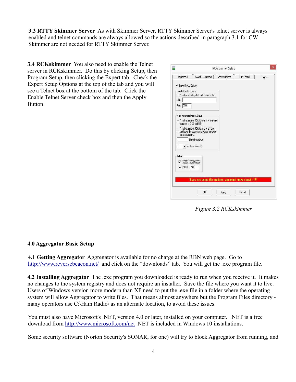**3.3 RTTY Skimmer Server** As with Skimmer Server, RTTY Skimmer Server's telnet server is always enabled and telnet commands are always allowed so the actions described in paragraph 3.1 for CW Skimmer are not needed for RTTY Skimmer Server.

**3.4 RCKskimmer** You also need to enable the Telnet server in RCKskimmer. Do this by clicking Setup, then Program Setup, then clicking the Expert tab. Check the Expert Setup Options at the top of the tab and you will see a Telnet box at the bottom of the tab. Click the Enable Telnet Server check box and then the Apply Button.

| V Expert Setup Options        |                                                                                     |  |  |
|-------------------------------|-------------------------------------------------------------------------------------|--|--|
| Private Cluster System        |                                                                                     |  |  |
|                               | Send received spots to a Private-Cluster                                            |  |  |
| URL:                          |                                                                                     |  |  |
| 0000 <br>Port:                |                                                                                     |  |  |
| Multi Instances Master/Slave  |                                                                                     |  |  |
|                               | This Instance of RCKskimmer is Master and<br>connect to DCS and RBN                 |  |  |
| on the same PC.               | This Instance of RCKskimmer is a Slave<br>and send the spots to the Master-Instance |  |  |
|                               | Slave Discribtion                                                                   |  |  |
| l1                            | Master / Slave ID                                                                   |  |  |
| Telnet                        |                                                                                     |  |  |
| <b>V</b> Enable Telnet Server |                                                                                     |  |  |
| Port (7300):                  | 7400                                                                                |  |  |
|                               |                                                                                     |  |  |
|                               |                                                                                     |  |  |
|                               | If you are using this options, you must know about it !!!!!                         |  |  |

*Figure 3.2 RCKskimmer*

#### **4.0 Aggregator Basic Setup**

**4.1 Getting Aggregator** Aggregator is available for no charge at the RBN web page. Go to <http://www.reversebeacon.net/>and click on the "downloads" tab. You will get the .exe program file.

**4.2 Installing Aggregator** The .exe program you downloaded is ready to run when you receive it. It makes no changes to the system registry and does not require an installer. Save the file where you want it to live. Users of Windows version more modern than XP need to put the .exe file in a folder where the operating system will allow Aggregator to write files. That means almost anywhere but the Program Files directory many operators use C:\Ham Radio\ as an alternate location, to avoid these issues.

You must also have Microsoft's .NET, version 4.0 or later, installed on your computer. .NET is a free download from<http://www.microsoft.com/net>.NET is included in Windows 10 installations.

Some security software (Norton Security's SONAR, for one) will try to block Aggregator from running, and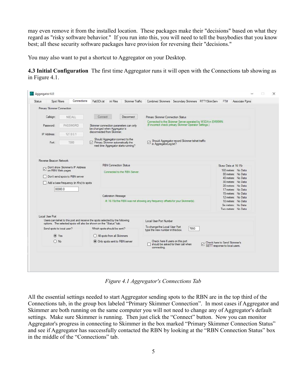may even remove it from the installed location. These packages make their "decisions" based on what they regard as "risky software behavior." If you run into this, you will need to tell the busybodies that you know best; all these security software packages have provision for reversing their "decisions."

You may also want to put a shortcut to Aggregator on your Desktop.

**4.3 Initial Configuration** The first time Aggregator runs it will open with the Connections tab showing as in Figure 4.1.

| Spot Filters<br>Status      | Connections                                                                                                            | Patt 3Ch. Ist<br>ini Files<br>Skimmer Traffic                                                                                 | Combined Skimmers Secondary Skimmers RTTYSkimServ<br>FT#                                                                                                 | Associate Pgms                                                                                               |  |  |  |  |
|-----------------------------|------------------------------------------------------------------------------------------------------------------------|-------------------------------------------------------------------------------------------------------------------------------|----------------------------------------------------------------------------------------------------------------------------------------------------------|--------------------------------------------------------------------------------------------------------------|--|--|--|--|
| Primary Skimmer Connection  |                                                                                                                        |                                                                                                                               |                                                                                                                                                          |                                                                                                              |  |  |  |  |
| Callsign:                   | NGCALL.                                                                                                                | Disconnect<br>Connect                                                                                                         | Primary Skimmer Connection Status                                                                                                                        |                                                                                                              |  |  |  |  |
| Password:                   | PASSWORD                                                                                                               | Skimmer connection parameters can only<br>be changed when Aggregator is                                                       | Connected to the Skimmer Server operated by W3OA in EM95MN.<br>(If incorrect check primary Skimmer Operator Settings.)                                   |                                                                                                              |  |  |  |  |
| IP Address:                 | 127.0.0.1                                                                                                              | disconnected from Skimmer                                                                                                     |                                                                                                                                                          |                                                                                                              |  |  |  |  |
| Port:                       | 7300                                                                                                                   | Should Aggregator connect to the<br>$\triangledown$ Primary Skimmer automatically the<br>next time Aggregator starts running? | Should Aggregator record Skimmer telnet traffic<br>☑<br>in AggregatorLog.txt?                                                                            |                                                                                                              |  |  |  |  |
| Reverse Beacon Network      |                                                                                                                        |                                                                                                                               |                                                                                                                                                          |                                                                                                              |  |  |  |  |
| on RBN Web pages            | Don't show Skimmer's IP Address<br>Don't send spots to RBN server<br>Add a base frequency (in Khz) to spots<br>00000.0 | <b>RBN</b> Connection Status<br>Connected to the RBN Server.                                                                  | Skew Data at 16:15z<br>160 meters: No Data<br>80 meters: No Data<br>40 meters: No Data<br>30 meters: No Data<br>20 meters: No Data<br>17 meters: No Data |                                                                                                              |  |  |  |  |
|                             |                                                                                                                        | Calibration Message                                                                                                           | At 16:15z the RBN was not showing any frequency offsets for your Skimmer(s).                                                                             | 15 meters: No Data<br>12 meters: No Data<br>10 meters: No Data<br>Six meters: No Data<br>Two meters: No Data |  |  |  |  |
| Local User Port             |                                                                                                                        | Users can telnet to this port and receive the spots selected by the following                                                 |                                                                                                                                                          |                                                                                                              |  |  |  |  |
|                             |                                                                                                                        | options. The selected spots will also be shown on the "Status" tab.                                                           | Local User Port Number                                                                                                                                   |                                                                                                              |  |  |  |  |
| Send spots to local user?   |                                                                                                                        | Which spots should be sent?                                                                                                   | To change the Local User Port<br>7550<br>type the new number in this box.                                                                                |                                                                                                              |  |  |  |  |
| $\circ$ Yes<br>$\bigcap$ No |                                                                                                                        | All spots from all Skimmers                                                                                                   | Check here if users on this port                                                                                                                         |                                                                                                              |  |  |  |  |
|                             |                                                                                                                        | Only spots sent to RBN server                                                                                                 | Check here to Send Skimmer's<br>should be asked for their call when<br>SETT response to local users.<br>connecting.                                      |                                                                                                              |  |  |  |  |
|                             |                                                                                                                        |                                                                                                                               |                                                                                                                                                          |                                                                                                              |  |  |  |  |

*Figure 4.1 Aggregator's Connections Tab*

All the essential settings needed to start Aggregator sending spots to the RBN are in the top third of the Connections tab, in the group box labeled "Primary Skimmer Connection". In most cases if Aggregator and Skimmer are both running on the same computer you will not need to change any of Aggregator's default settings. Make sure Skimmer is running. Then just click the "Connect" button. Now you can monitor Aggregator's progress in connecting to Skimmer in the box marked "Primary Skimmer Connection Status" and see if Aggregator has successfully contacted the RBN by looking at the "RBN Connection Status" box in the middle of the "Connections" tab.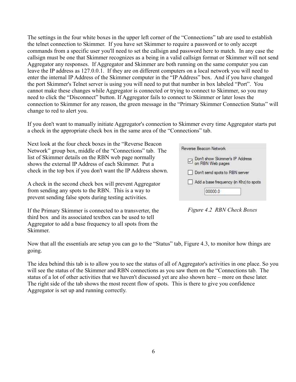The settings in the four white boxes in the upper left corner of the "Connections" tab are used to establish the telnet connection to Skimmer. If you have set Skimmer to require a password or to only accept commands from a specific user you'll need to set the callsign and password here to match. In any case the callsign must be one that Skimmer recognizes as a being in a valid callsign format or Skimmer will not send Aggregator any responses. If Aggregator and Skimmer are both running on the same computer you can leave the IP address as 127.0.0.1. If they are on different computers on a local network you will need to enter the internal IP Address of the Skimmer computer in the "IP Address" box. And if you have changed the port Skimmer's Telnet server is using you will need to put that number in box labeled "Port". You cannot make these changes while Aggregator is connected or trying to connect to Skimmer, so you may need to click the "Disconnect" button. If Aggregator fails to connect to Skimmer or later loses the connection to Skimmer for any reason, the green message in the "Primary Skimmer Connection Status" will change to red to alert you.

If you don't want to manually initiate Aggregator's connection to Skimmer every time Aggregator starts put a check in the appropriate check box in the same area of the "Connections" tab.

Next look at the four check boxes in the "Reverse Beacon Network" group box, middle of the "Connections" tab. The list of Skimmer details on the RBN web page normally shows the external IP Address of each Skimmer. Put a check in the top box if you don't want the IP Address shown.

A check in the second check box will prevent Aggregator from sending any spots to the RBN. This is a way to prevent sending false spots during testing activities.

If the Primary Skimmer is connected to a transverter, the third box and its associated textbox can be used to tell Aggregator to add a base frequency to all spots from the Skimmer.

| Reverse Beacon Network                                  |
|---------------------------------------------------------|
| □ Don't show Skimmer's IP Address<br>□ on RBN Web pages |
| Don't send spots to RBN server                          |
| Add a base frequency (in Khz) to spots                  |
| 00000.0                                                 |
|                                                         |

*Figure 4.2 RBN Check Boxes*

Now that all the essentials are setup you can go to the "Status" tab, Figure 4.3, to monitor how things are going.

The idea behind this tab is to allow you to see the status of all of Aggregator's activities in one place. So you will see the status of the Skimmer and RBN connections as you saw them on the "Connections tab. The status of a lot of other activities that we haven't discussed yet are also shown here – more on these later. The right side of the tab shows the most recent flow of spots. This is there to give you confidence Aggregator is set up and running correctly.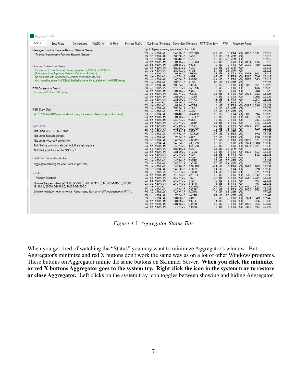| Status               | Spot Filters                                                                      | Connections | Patt 3Ch.lst | ini Files | Skimmer Traffic | Combined Skimmers Secondary Skimmers RTTYSkimServ |                    |                         |                      | FT# |                 | Associate Pgms                                     |                 |                |
|----------------------|-----------------------------------------------------------------------------------|-------------|--------------|-----------|-----------------|---------------------------------------------------|--------------------|-------------------------|----------------------|-----|-----------------|----------------------------------------------------|-----------------|----------------|
|                      | Messages from the Reverse Beacon Network Server                                   |             |              |           |                 | Spot Display showing spots sent to the RBN        |                    |                         |                      |     |                 |                                                    |                 |                |
|                      | Thanks for joining the Reverse Beacon Network                                     |             |              |           |                 | $DX de W30A-#$ :                                  | 14080.0            | SV1CON                  | $-17$ dB             |     | 6 FT4           | CO KM08 1035                                       |                 | 1611Z          |
|                      |                                                                                   |             |              |           |                 | $DX de W3OA-#$ :                                  | 28020.7            | N4OX                    | 10 dB                | 33  | WPM             | CO                                                 |                 | <b>1611Z</b>   |
|                      |                                                                                   |             |              |           |                 | DX de $W3OA-#$ :                                  | 28048.0            | N5CO                    | 10dB                 |     | 28 WPM          | CQ                                                 |                 | 1611Z          |
|                      |                                                                                   |             |              |           |                 | $DX de W3OA-#$ :                                  | 10136.0            | DL1UDO                  | $-16$ dB             |     | 6 FT8           | C <sub>Q</sub><br><b>JO31</b>                      | 446             | 1611Z          |
|                      | <b>Skimmer Connections Status</b>                                                 |             |              |           |                 | DX de W30A-#:<br>DX de W30A-#:                    | 10136.0<br>28033.5 | W2ZI<br>N1RR            | 3 dB<br>12 dB        |     | 6 FT8<br>28 WPM | CO.<br>EL99<br>CO                                  | 789             | 1611Z<br>1611Z |
|                      | Connected to the Skimmer Server operated by W3OA in EM95MN.                       |             |              |           |                 | DX de W30A-#:                                     | 28051.0            | W5WZ                    | 34 dB                |     | 28 WPM          | CO                                                 |                 | 1611Z          |
|                      | (If incorrect check primary Skimmer Operator Settings.)                           |             |              |           |                 | $DX de W3OA-#$ :                                  | 10136.0            | OM5ZW                   | $-11$ dB             |     | 6 FT8           | JN98<br>C <sub>O</sub>                             | 603             | 1611Z          |
|                      | No problems with Secondary Skimmer connections found.                             |             |              |           |                 | $DX de W30A-#$ :                                  | 14074.0            | W9DF                    | $-7$ dB              |     | 6 FT8           | C <sub>O</sub><br><b>EN60</b>                      | 356             | 1611Z          |
|                      | You have the same Patt3Ch lst file that is currently available on the RBN Server. |             |              |           |                 | $DX de W3OA-#$ :                                  | 14074.0            | AD8FD                   | $-14$ dB             |     | 6 FT8           | C <sub>O</sub><br><b>EM79</b>                      | 383             | 1611Z          |
|                      |                                                                                   |             |              |           |                 | DX de $W3OA-#$ :                                  | 28012.0            | K1GO                    | 63 dB                |     | 29 WPM          | CO                                                 |                 | 1612Z          |
|                      |                                                                                   |             |              |           |                 | DX de W30A-#:<br>$DX de W30A-#$ :                 | 28074.0<br>14074.0 | N8LRG<br>KA4BVG         | $-8$ dB<br>6 dB      |     | 6 FT8           | <b>EN80</b><br>CQ<br>C <sub>Q</sub>                | 651<br>166      | 1612Z<br>1612Z |
|                      | <b>RBN</b> Connection Status                                                      |             |              |           |                 | $DX de W3OA-#$ :                                  | 10136.0            | WN8J                    | 8 dB                 |     | 6 FT8<br>6 FT8  | C <sub>0</sub>                                     | 788             | 1612Z          |
|                      | Connected to the RBN Server.                                                      |             |              |           |                 | DX de W30A-#:                                     | 28074.0            | KC30L                   | $-15$ dB             |     | 6 FT8           | CQ EM28                                            | 982             | 1612Z          |
|                      |                                                                                   |             |              |           |                 | $DX de W3OA-#$ :                                  | 18100.0            | F4GYM                   | $-4$ d <sub>B</sub>  |     | 6 FT8           | CO                                                 | 1008            | 1612Z          |
|                      |                                                                                   |             |              |           |                 | DX de W30A-#:                                     | 18100.0            | AF4HX                   | $-1$ dB              |     | 6 FT8           | CO                                                 | 1057            | 1612Z          |
|                      |                                                                                   |             |              |           |                 | DX de W30A-#:                                     | 10136.0            | WOSD                    | 7 dB                 |     | 6 FT8           | CQ                                                 | 1118            | 1612Z          |
|                      |                                                                                   |             |              |           |                 | $DX de W30A-#$ :                                  | 10136.0            | <b>KC7RG</b>            | $\overline{4}$       | dB  | 6 FT8           | CO CN87 1096                                       |                 | 1612Z          |
| <b>RBN Skew Data</b> |                                                                                   |             |              |           |                 | $DX de W3OA-#$ :                                  | 28034.5            | <b>N1RR</b>             | $9$ dB               |     | 29 WPM          | C <sub>0</sub>                                     |                 | 1612Z          |
|                      |                                                                                   |             |              |           |                 | DX de W30A-#:                                     | 7032.0             | K4UY                    | 18                   | dB  | 22 WPM          | CO                                                 |                 | 1612Z<br>1612Z |
|                      | At 16:12z the RBN was not showing any frequency offsets for your Skimmer(s).      |             |              |           |                 | $DX de W3OA-#$ :<br>$DX de W30A-#$ :              | 10140.0<br>10136.0 | <b>KC4TFX</b><br>CT2FEY | $-15$ dB<br>$-13$ dB |     | 6 FT4<br>6 FT8  | <b>FM19</b><br>C <sub>0</sub><br>CQ<br><b>IN50</b> | 994<br>319      | 1612Z          |
|                      |                                                                                   |             |              |           |                 | DX de W30A-#:                                     | 14074.0            | WK8A                    | $0$ $dB$             |     | 6 FT8           | CQ                                                 | 931             | 1612Z          |
|                      |                                                                                   |             |              |           |                 | $DX de W30A-#$ :                                  | 14074.0            | F6BTP                   | $-18$ dB             |     | 6 FT8           | C <sub>0</sub>                                     | 971             | 1612Z          |
| Spot Filters         |                                                                                   |             |              |           |                 | DX de W30A-#:                                     | 14080.0            | F4FSY                   | $-20$ dB             |     | 6 FT4           | JN25<br>C <sub>O</sub>                             | 944             | 1612Z          |
|                      |                                                                                   |             |              |           |                 | DX de W30A-#:                                     | 18100.0            | EA1AGP                  | 2 dB                 |     | 6 FT8           | C <sub>O</sub>                                     |                 | 519 1612Z      |
|                      | Not using MASTER.SCP filter.                                                      |             |              |           |                 | $DX de W3OA-#$ :                                  | 14054.5            | W8OB                    | 21 dB                |     | 17 WPM          | C <sub>0</sub>                                     |                 | 1613Z          |
|                      | Not using BadCalls txt filter.                                                    |             |              |           |                 | DX de W30A-#:                                     | 21074.0            | LW4EAZ                  | $-10$ $dB$           |     | 6 FT8           | CO                                                 |                 | 976 1613Z      |
|                      |                                                                                   |             |              |           |                 | DX de W30A-#:<br>DX de W30A-#:                    | 7074.0<br>14074.0  | KOZS<br>KD7WP3          | 10 dB<br>$-13$ dB    |     | 6 FT8<br>6 FT8  | CQ<br>C <sub>O</sub>                               | 926<br>CM97 921 | 1613Z<br>1613Z |
|                      | Not using NotchedFreqs.txt filter.                                                |             |              |           |                 | DX de W30A-#:                                     | 14074.0            | KB3CZO                  | $-10$ dB             |     | 6 FT8           | CQ                                                 | FN21 1008       | 1613Z          |
|                      | Not filtering spots for calls that look like a grid square.                       |             |              |           |                 | DX de W30A-#:                                     | 14074.0            | IK4LZH                  | $-20$ dB             |     | 6 FT8           | CQ                                                 | JN54 1021       | 1613Z          |
|                      |                                                                                   |             |              |           |                 | $DX de W3OA-#$ :                                  | 28049.3            | W1KM                    | $15$ dB              |     | 31 WPM          | C <sub>O</sub>                                     |                 | 16137          |
|                      | Not filtering VHF+ spots for SNR <= 1.                                            |             |              |           |                 | DX de W30A-#:                                     | 18100.0            | <b>S520W</b>            | $-16 dB$             |     | 6 FT8           | CQ JN75                                            |                 | 817 1613Z      |
|                      |                                                                                   |             |              |           |                 | DX de W30A-#:                                     | 14074.0            | N8QF                    | $-16$ dB             |     | 6 FT8           | CQ                                                 |                 | 882 1613Z      |
|                      | <b>Local User Connection Status</b>                                               |             |              |           |                 | $DX de W30A-#$ :                                  | 28056.9            | N4QS                    | 11 dB                |     | 33 WPM          | CQ                                                 |                 | 1613Z          |
|                      |                                                                                   |             |              |           |                 | DX de W30A-#:                                     | 14026.0            | G3SED                   | 13 dB<br>23 dB       |     | 27 WPM          | CQ                                                 |                 | 1613Z<br>1613Z |
|                      | Aggregator listening for local users on port 7550.                                |             |              |           |                 | DX de $W30A-\#$ :<br>$DX de W3OA-#$ :             | 14023.5<br>14080.0 | HA3NU<br>SP9UPH         | $-11$ dB             |     | 25 WPM<br>6 FT4 | CQ<br>CO JO90                                      | 703             | 1613Z          |
|                      |                                                                                   |             |              |           |                 | DX de W30A-#:                                     | 14080.0            | KI6DY                   | 14dB                 |     | 6 FT4           | CO                                                 | 820             | 1613Z          |
|                      |                                                                                   |             |              |           |                 | DX de W30A-#:                                     | 14074.0            | PEOFK                   | $-11$ dB             |     | 6 FT8           | CQ                                                 | 275             | 1613Z          |
| ini Files            |                                                                                   |             |              |           |                 | DX de $W30A-\#$ :                                 | 21074.0            | YV50IE                  | $-18$ dB             |     | 6 FT8           | CQ FK60 1032                                       |                 | 1613Z          |
| Rotation Stopped     |                                                                                   |             |              |           |                 | $DX de W3OA-#$ :                                  | 21074.0            | PW1F                    | $-14$ dB             |     | 6 FT8           | CQ                                                 | GG87 1084       | 1613Z          |
|                      |                                                                                   |             |              |           |                 | DX de W30A-#:                                     | 14074.0            | N7EP                    | $\mathbf{0}$         | dB  | 6 FT8           | CQ                                                 | 497             | 1613Z          |
|                      | Skimmer frequency band(s): 3500.0-3600.0, 7000.0-7125.0, 14000.0-14150.0, 21000.0 |             |              |           |                 | $DX de W3OA-#$ :                                  | 14074.0            | 5T5PA                   | $5$ dB               |     | 6 FT8           | C <sub>0</sub>                                     | 497             | 1613Z          |
|                      | -21182.0, 28000.0-28182.0, 28182.0-28300.0                                        |             |              |           |                 | DX de W30A-#:                                     | 7074.0             | KA3FUL                  | $-5$ dB              |     | 6 FT8           | CQ.<br>CQ 3020                                     | FN10 1123       | 1613Z          |
|                      | Skimmer validation level is Normal. Recommend Normal for CW, Aggressive for RTTY. |             |              |           |                 | DX de $W3OA - #$ :<br>DX de W30A-#:               | 14074.0<br>14025.0 | ON2RK<br>G4HZV          | $-24$ dB<br>5 dB     |     | 6 FT8<br>29 WPM | CQ                                                 | 562             | 1614Z<br>1614Z |
|                      |                                                                                   |             |              |           |                 | DX de W30A-#:                                     | 7026.0             | W4YTB                   | 21 dB                |     | 27 WPM          | CO                                                 |                 | 1614Z          |
|                      |                                                                                   |             |              |           |                 | DX de $W30A-\#$ :                                 | 18100.0            | KB8U                    | $-9$ dB              |     | 6 FT8           | CQ EN71                                            | 349             | 1614Z          |
|                      |                                                                                   |             |              |           |                 | DX de $W3OA-#$ :                                  | 18100.0            | W9ZCL                   | $1$ dB               |     | 6 FT8           | C <sub>0</sub>                                     | 756             | 1614Z          |
|                      |                                                                                   |             |              |           |                 | DX de W30A-#:                                     | 10136.0            | G3YBO                   | $-16 dB$             |     | 6 FT8           | CQ 1093                                            | 554             | 1614Z          |
|                      |                                                                                   |             |              |           |                 | DX de W30A-#:                                     | 7074.0             | N9XHN                   | $-2$ dB              |     | 6 FT8           | CQ EN50                                            | 491             | 1614Z          |

*Figure 4.3 Aggregator Status Tab*

When you get tired of watching the "Status" you may want to minimize Aggregator's window. But Aggregator's minimize and red X buttons don't work the same way as on a lot of other Windows programs. These buttons on Aggregator mimic the same buttons on Skimmer Server. **When you click the minimize or red X buttons Aggregator goes to the system try. Right click the icon in the system tray to restore or close Aggregator.** Left clicks on the system tray icon toggles between showing and hiding Aggregator.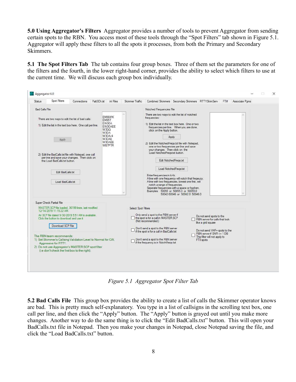**5.0 Using Aggregator's Filters** Aggregator provides a number of tools to prevent Aggregator from sending certain spots to the RBN. You access most of these tools through the "Spot Filters" tab shown in Figure 5.1. Aggregator will apply these filters to all the spots it processes, from both the Primary and Secondary Skimmers.

**5.1 The Spot Filters Tab** The tab contains four group boxes. Three of them set the parameters for one of the filters and the fourth, in the lower right-hand corner, provides the ability to select which filters to use at the current time. We will discuss each group box individually.

| Spot Filters<br>Status<br>Connections<br>Patt 3Ch. Ist                                                                                                                                                                                                                                                                                                                                                                                                   | Skimmer Traffic<br>ini Files                                                               | Combined Skimmers Secondary Skimmers RTTYSkimServ<br>Associate Pgms<br>FT#                                                                                                                                                                                                                                                                                                                                                                                                                                                                                                                                                                                                                                                         |
|----------------------------------------------------------------------------------------------------------------------------------------------------------------------------------------------------------------------------------------------------------------------------------------------------------------------------------------------------------------------------------------------------------------------------------------------------------|--------------------------------------------------------------------------------------------|------------------------------------------------------------------------------------------------------------------------------------------------------------------------------------------------------------------------------------------------------------------------------------------------------------------------------------------------------------------------------------------------------------------------------------------------------------------------------------------------------------------------------------------------------------------------------------------------------------------------------------------------------------------------------------------------------------------------------------|
| <b>Bad Calls File</b>                                                                                                                                                                                                                                                                                                                                                                                                                                    |                                                                                            | Notched Frequencies File                                                                                                                                                                                                                                                                                                                                                                                                                                                                                                                                                                                                                                                                                                           |
| There are two ways to edit the list of bad calls:<br>1) Edit the list in the text box here. One call per line.<br>Apply<br>2) Edit the BadCalls txt file with Notepad, one call<br>per line and save your changes. Then click on<br>the Load BadCalls.txt button.<br>Edit BadCalls txt<br>Load BadCalls.txt                                                                                                                                              | EM86WK<br>EM95T<br>EW3OA<br>EW3OAEE<br>W3GO<br>AOEW<br>W3OA/4<br>W3OAE<br>W3OAEE<br>WB7PTR | There are two ways to edit the list of notched<br>frequencies:<br>1) Edit the list in the text box here. One or two<br>frequencies per line. When you are done,<br>click on the Apply button.<br>Apply<br>2) Edit the NotchedFregs txt file with Notepad.<br>one or two frequencies per line and save<br>your changes. Then click on the<br>Load NotchedFreqs.txt button.<br>Edit NotchedFreqs.txt<br>Load NotchedFregs.txt<br>Enter frequencies in kHz.<br>A line with one frequency will notch that freqeucy.<br>A line with two frequencies, lowest one first, will<br>notch a range of frequencies.<br>Seperate frequencies with a space or hyphen.<br>Examples: 50055 or 50055.0 or 50055.0<br>50042-50046 or 50042.0 50046.0 |
| Super Check Partial File<br>MASTER.SCP file loaded, 36199 lines, last modified<br>12/14/2019 11:15:22 AM.<br>An SCP file dated 9/30/2019 5:51 AM is available.<br>Click the button to download and use it<br>Download SCP File<br>The RBN team recommends:<br>1) Set Skimmer's Callsing Validation Level to Normal for CW.<br>Aggressive for RTTY.<br>2) Do not use Aggregator's MASTER.SCP spot filter<br>(i.e don't check the first box to the right). | Select Spot Filters                                                                        | Only send a spot to the RBN server if<br>Do not send spots to the<br>the spot is for a call in MASTER.SCP<br>RBN server for calls that look<br>(Not recommended.)<br>like a grid square<br>Don't send a spot to the RBN server<br>Do not send VHF+ spots to the<br>if the spot is for a call in BadCalls.txt<br>RBN server if SNR <= 1 DB<br>This filter will not apply to<br>Don't send a spot to the RBN server<br>FT8 spots<br>if the frequency is in NotchFregs.txt                                                                                                                                                                                                                                                            |

*Figure 5.1 Aggregator Spot Filter Tab*

**5.2 Bad Calls File** This group box provides the ability to create a list of calls the Skimmer operator knows are bad. This is pretty much self-explanatory. You type in a list of callsigns in the scrolling text box, one call per line, and then click the "Apply" button. The "Apply" button is grayed out until you make more changes. Another way to do the same thing is to click the "Edit BadCalls.txt" button. This will open your BadCalls.txt file in Notepad. Then you make your changes in Notepad, close Notepad saving the file, and click the "Load BadCalls.txt" button.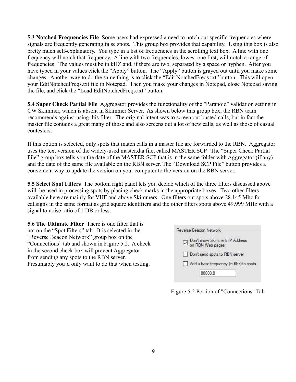**5.3 Notched Frequencies File** Some users had expressed a need to notch out specific frequencies where signals are frequently generating false spots. This group box provides that capability. Using this box is also pretty much self-explanatory. You type in a list of frequencies in the scrolling text box. A line with one frequency will notch that frequency. A line with two frequencies, lowest one first, will notch a range of frequencies. The values must be in kHZ and, if there are two, separated by a space or hyphen. After you have typed in your values click the "Apply" button. The "Apply" button is grayed out until you make some changes. Another way to do the same thing is to click the "Edit NotchedFreqs.txt" button. This will open your EditNotchedFreqs.txt file in Notepad. Then you make your changes in Notepad, close Notepad saving the file, and click the "Load EditNotchedFreqs.txt" button.

**5.4 Super Check Partial File** Aggregator provides the functionality of the "Paranoid" validation setting in CW Skimmer, which is absent in Skimmer Server. As shown below this group box, the RBN team recommends against using this filter. The original intent was to screen out busted calls, but in fact the master file contains a great many of those and also screens out a lot of new calls, as well as those of casual contesters.

If this option is selected, only spots that match calls in a master file are forwarded to the RBN. Aggregator uses the text version of the widely-used master.dta file, called MASTER.SCP. The "Super Check Partial File" group box tells you the date of the MASTER.SCP that is in the same folder with Aggregator (if any) and the date of the same file available on the RBN server. The "Download SCP File" button provides a convenient way to update the version on your computer to the version on the RBN server.

**5.5 Select Spot Filters** The bottom right panel lets you decide which of the three filters discussed above will be used in processing spots by placing check marks in the appropriate boxes. Two other filters available here are mainly for VHF and above Skimmers. One filters out spots above 28.145 Mhz for callsigns in the same format as grid square identifiers and the other filters spots above 49.999 MHz with a signal to noise ratio of 1 DB or less.

**5.6 The Ultimate Filter** There is one filter that is not on the "Spot Filters" tab. It is selected in the "Reverse Beacon Network" group box on the "Connections" tab and shown in Figure 5.2. A check in the second check box will prevent Aggregator from sending any spots to the RBN server. Presumably you'd only want to do that when testing.

|     | Reverse Beacon Network                                  |
|-----|---------------------------------------------------------|
|     | □ Don't show Skimmer's IP Address<br>□ on RBN Web pages |
| l 1 | Don't send spots to RBN server                          |
|     | Add a base frequency (in Khz) to spots                  |
|     | 00000.0                                                 |

Figure 5.2 Portion of "Connections" Tab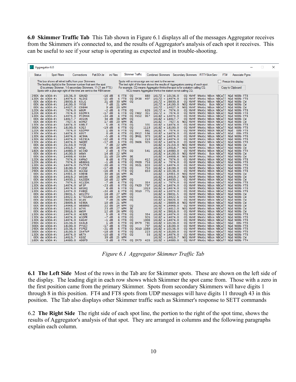**6.0 Skimmer Traffic Tab** This Tab shown in Figure 6.1 displays all of the messages Aggregator receives from the Skimmers it's connected to, and the results of Aggregator's analysis of each spot it receives. This can be useful to see if your setup is operating as expected and in trouble-shooting.

| Aggregator 6.0 |                                                                                                                         |                               |                                    |                                                                                                                                       |                  |                           |      |                                                                                                                                                                                                                                                                                         |  |                               |     |                                                                                  | □ | $\times$ |
|----------------|-------------------------------------------------------------------------------------------------------------------------|-------------------------------|------------------------------------|---------------------------------------------------------------------------------------------------------------------------------------|------------------|---------------------------|------|-----------------------------------------------------------------------------------------------------------------------------------------------------------------------------------------------------------------------------------------------------------------------------------------|--|-------------------------------|-----|----------------------------------------------------------------------------------|---|----------|
|                |                                                                                                                         |                               |                                    |                                                                                                                                       |                  |                           |      |                                                                                                                                                                                                                                                                                         |  |                               |     |                                                                                  |   |          |
| Status         | <b>Spot Filters</b>                                                                                                     |                               | Connections                        | Patt 3Ch.Ist                                                                                                                          | ini Files        | <b>Skimmer Traffic</b>    |      | Combined Skimmers   Secondary Skimmers   RTTYSkimServ                                                                                                                                                                                                                                   |  |                               | FT# | Associate Pams                                                                   |   |          |
|                | This box shows all telnet traffic from your Skimmers.<br>The leading digit(s) is the Skimmer number that sent the spot. |                               |                                    | (0 is primary Skimmer, 1-8 secondary Skimmers, 11-21 are FT8.)<br>Spots with a plus sign right of the time are sent to the RBN sever. |                  |                           |      | Spots with a minus sign are not sent to the server.<br>The text right of the time shows the results of Aggregators parsing of each spot.<br>For example, CQ means Aggregator thinks the spot is for a station calling CQ.<br>NCQ means Aggregator thinks the station is not calling CQ. |  |                               |     | Freeze this display.<br>Copy to Clipboard                                        |   |          |
|                | 29DX de W30A-#:                                                                                                         | 10136.0 GOUGO                 |                                    | $-16$ dB                                                                                                                              | 6 FT8 CQ         |                           |      | 880 1617Z + 10136.0                                                                                                                                                                                                                                                                     |  |                               |     | CQ NVHF NNotc NBcn NBCall NGd NODb FT8                                           |   |          |
|                | 13DX de W30A-#:                                                                                                         | 14074.0 N1IKI                 |                                    | $-15$ dB                                                                                                                              | 6 FT8            |                           |      | CQ EM38 497 1617Z + 14074.0                                                                                                                                                                                                                                                             |  |                               |     | CQ NVHF NNotc NBcn NBCall NGd NODb FT8                                           |   |          |
|                | ODX de W3OA-#:                                                                                                          | 28030.8 K5LG                  |                                    | 21 dB                                                                                                                                 | 30 WPM           | <b>CQ</b>                 |      | $1617Z + 28030.8$                                                                                                                                                                                                                                                                       |  |                               |     | CQ NVHF NNotc NBcn NBCall NGd NODb CW                                            |   |          |
|                | ODX de W3OA-#:<br>ODX de $W3OA-#$ :                                                                                     | 14100.0 YV5B<br>14027.9 CO8HH |                                    | 7 dB<br>9 dB                                                                                                                          | 21 WPM<br>20 WPM |                           |      | $1617Z + 14100.0$<br>$1617Z - 14027.9$                                                                                                                                                                                                                                                  |  |                               |     | NCQ NVHF NNotc Bcn NBCall NGd NODb CW<br>NCQ NVHF NNotc NBcn NBCall NGd NODb CW  |   |          |
|                | 12DX de W30A-#:                                                                                                         | 7074.0 W8UM                   |                                    | $-2$ dB                                                                                                                               | 6 FT8            | <b>CQ</b>                 |      | 626 1617Z + 7074.0                                                                                                                                                                                                                                                                      |  |                               |     | CO NVHF NNotc NBcn NBCall NGd NODb FT8                                           |   |          |
|                | 12DX de W30A-#:                                                                                                         |                               | 7074.0 KD2MFX                      | $-17$ dB                                                                                                                              | 6 FT8            | CQ FNO2                   | 355  | $1617Z + 7074.0$                                                                                                                                                                                                                                                                        |  |                               |     | CQ NVHF NNotc NBcn NBCall NGd NODb FT8                                           |   |          |
|                | 13DX de W30A-#:                                                                                                         | 14074.0                       | PJ2MAN                             | $-24$ dB                                                                                                                              | 6 FT8            |                           |      | CQ FK52 957 1618Z + 14074.0                                                                                                                                                                                                                                                             |  |                               |     | CQ NVHF NNotc NBcn NBCall NGd NODb FT8                                           |   |          |
|                | ODX de W3OA-#:                                                                                                          | 14017.7                       | 4U1UN                              | 34 dB                                                                                                                                 | 38 WPM           | <b>CQ</b>                 |      | $1618Z + 14017.7$                                                                                                                                                                                                                                                                       |  |                               |     | CQ NVHF NNotc NBcn NBCall NGd NODb CW                                            |   |          |
|                | $ODX$ de $W3OA-#$ :                                                                                                     | 7027.6                        | <b>W3HGT</b>                       | 17 <sub>dB</sub>                                                                                                                      | 20 WPM           | DE.                       |      | 1618Z - 7027.6                                                                                                                                                                                                                                                                          |  |                               |     | NCO NVHF NNotc NBcn NBCall NGd NODb CW                                           |   |          |
|                | 13DX de W30A-#:<br>30DX de W30A-#:                                                                                      | 14074.0<br>18100.0 K2QJ       | <b>KOBLT</b>                       | 5 dB<br>$-19$ dB                                                                                                                      | 6 FT8<br>6 FT8   | <b>CQ</b><br><b>CQ</b>    |      | $335$ $1618Z + 14074.0$<br>1119  1618Z + 18100.0                                                                                                                                                                                                                                        |  |                               |     | CO NVHF NNotc NBcn NBCall NGd NODb FT8<br>CQ NVHF NNotc NBcn NBCall NGd NODb FT8 |   |          |
|                | 12DX de W30A-#:                                                                                                         | 7074.0                        | KD2PMF                             | 1 dB                                                                                                                                  | 6 FT8            | <b>CQ</b>                 |      | 861 1618Z + 7074.0                                                                                                                                                                                                                                                                      |  | CQ NVHF NNotc NBcn NBCall NGd |     | ODb FT8                                                                          |   |          |
|                | 13DX de W3OA-#:                                                                                                         | 14074.0                       | KO5T                               | $0$ dB                                                                                                                                | 6 FT8            | CQ EM12                   | 594  | $1618Z + 14074.0$                                                                                                                                                                                                                                                                       |  | CQ NVHF NNotc NBcn NBCall NGd |     | ODb FT8                                                                          |   |          |
|                | $13DX$ de $W3OA-#$ :                                                                                                    | 14074.0                       | AC9HA                              | $-5$ dB                                                                                                                               | 6 FT8            | CQ DM61                   | 970  | $1618Z + 14074.0$                                                                                                                                                                                                                                                                       |  |                               |     | CO NVHF NNotc NBcn NBCall NGd NODb FT8                                           |   |          |
|                | 13DX de W30A-#:                                                                                                         | 14074.0                       | <b>VE2SCA</b>                      | $-22$ dB                                                                                                                              | 6 FT8            | C <sub>0</sub>            | 219  | $1618Z + 14074.0$                                                                                                                                                                                                                                                                       |  |                               |     | CO NVHF NNotc NBcn NBCall NGd NODb FT8                                           |   |          |
|                | 13DX de W30A-#:                                                                                                         | 14074.0 N4QBI                 |                                    | $-17 dB$                                                                                                                              | 6 FT8            | CQ DN06                   |      | $926$ $1618Z + 14074.0$                                                                                                                                                                                                                                                                 |  |                               |     | CQ NVHF NNotc NBcn NBCall NGd NODb FT8                                           |   |          |
|                | ODX de W3OA-#:<br>ODX de $W3OA-#$ :                                                                                     | 21150.0<br>14018.7            | YV5B<br>W5QC                       | 7 dB<br>35 dB                                                                                                                         | 22 WPM<br>26 WPM |                           |      | $1618Z + 21150.0$<br>1618Z - 14018.7                                                                                                                                                                                                                                                    |  |                               |     | NCQ NVHF NNotc Bcn NBCall NGd NODb CW<br>NCQ NVHF NNotc NBcn NBCall NGd NODb CW  |   |          |
|                | 18DX de W30A-#:                                                                                                         | 14080.0                       | W2JAD                              | 2 dB                                                                                                                                  | 6 FT4            | CQ.                       |      | $541$ $16182 + 14080.0$                                                                                                                                                                                                                                                                 |  |                               |     | CQ NVHF NNotc NBcn NBCall NGd NODb FT4                                           |   |          |
|                | ODX de W3OA-#:                                                                                                          | 14100.0                       | <b>W6WX</b>                        | 14 dB                                                                                                                                 | 22 WPM           |                           |      | $1618Z + 14100.0$                                                                                                                                                                                                                                                                       |  |                               |     | NCQ NVHF NNotc Bcn NBCall NGd NODb CW                                            |   |          |
|                | ODX de W3OA-#:                                                                                                          | 14008.6                       | KK8A                               | 21 dB                                                                                                                                 | 29 WPM           | DE                        |      | $1618Z - 14008.6$                                                                                                                                                                                                                                                                       |  |                               |     | NCQ NVHF NNotc NBcn NBCall NGd NODb CW                                           |   |          |
|                | 12DX de W30A-#:                                                                                                         | 7074.0                        | K4MWJ                              | 8 <sub>dB</sub>                                                                                                                       | 6 FT8            | <b>CQ</b>                 |      | 412 1618Z + 7074.0                                                                                                                                                                                                                                                                      |  |                               |     | CQ NVHF NNotc NBcn NBCall NGd NODb FT8                                           |   |          |
|                | 12DX de W30A-#:                                                                                                         | 7074.0                        | WB8EKG                             | $-1$ dB                                                                                                                               | 6 FT8            | CQ FM09                   | 758  | $1618Z + 7074.0$                                                                                                                                                                                                                                                                        |  |                               |     | CQ NVHF NNotc NBcn NBCall NGd NODb FT8                                           |   |          |
|                | 13DX de W30A-#:<br>30DX de W30A-#:                                                                                      | 14074.0<br>18100.0            | <b>PA7PYR</b><br>F1DSZ             | $-20$ dB<br>$-17$ dB                                                                                                                  | 6 FT8<br>6 FT8   | CQ J021 833<br><b>CQ</b>  |      | $1618Z + 14074.0$<br>750 1618Z + 18100.0                                                                                                                                                                                                                                                |  |                               |     | CQ NVHF NNotc NBcn NBCall NGd NODb FT8<br>CQ NVHF NNotc NBcn NBCall NGd NODb FT8 |   |          |
|                | 29DX de W30A-#:                                                                                                         | 10136.0 W1CEW                 |                                    | $-16$ dB                                                                                                                              | 6 FT8            | <b>CQ</b>                 |      | $650$ $1618Z + 10136.0$                                                                                                                                                                                                                                                                 |  |                               |     | CQ NVHF NNotc NBcn NBCall NGd NODb FT8                                           |   |          |
|                | ODX de W3OA-#:                                                                                                          | 14055.0                       | KOBXB                              | $30 \text{ dB}$                                                                                                                       | 16 WPM           | <b>DE</b>                 |      | $1618Z - 14055.0$                                                                                                                                                                                                                                                                       |  |                               |     | NCQ NVHF NNotc NBcn NBCall NGd NODb CW                                           |   |          |
|                | ODX de $W3OA-#$ :                                                                                                       | 14019.2 W6SAN                 |                                    | 22 dB                                                                                                                                 | 28 WPM           |                           |      | $1618Z - 14019.2$                                                                                                                                                                                                                                                                       |  |                               |     | NCQ NVHF NNotc NBcn NBCall NGd NODb CW                                           |   |          |
|                | ODX de $W3OA-#$ :                                                                                                       | 14030.1                       | KA2DDX                             | 16 dB                                                                                                                                 | 22 WPM           | <b>CQ</b>                 |      | $1618Z + 14030.1$                                                                                                                                                                                                                                                                       |  |                               |     | CQ NVHF NNotc NBcn NBCall NGd NODb CW                                            |   |          |
|                | 12DX de W30A-#:                                                                                                         | 7074.0                        | <b>KC1IOK</b>                      | $-7$ dB                                                                                                                               | 6 FT8            | <b>CQ</b>                 |      | 354 1618Z + 7074.0                                                                                                                                                                                                                                                                      |  |                               |     | CQ NVHF NNotc NBcn NBCall NGd NODb FT8                                           |   |          |
|                | 13DX de W30A-#:<br>13DX de W30A-#:                                                                                      | 14074.0 WF3P<br>14074.0       | W8SKQ                              | $-23 dB$<br>8 <sub>dB</sub>                                                                                                           | 6 FT8<br>6 FT8   | CQ FN20 797<br><b>CQ</b>  | 1019 | $1618Z + 14074.0$<br>$1618Z + 14074.0$                                                                                                                                                                                                                                                  |  |                               |     | CQ NVHF NNotc NBcn NBCall NGd NODb FT8<br>CQ NVHF NNotc NBcn NBCall NGd NODb FT8 |   |          |
|                | 13DX de W30A-#:                                                                                                         | 14074.0                       | F4BQS                              | $-24$ dB                                                                                                                              | 6 FT8            |                           |      | CQ J010 771 1618Z + 14074.0                                                                                                                                                                                                                                                             |  |                               |     | CQ NVHF NNotc NBcn NBCall NGd NODb FT8                                           |   |          |
|                | ODX de $W3OA - #$ :                                                                                                     | 28031.5                       | WU1ITU                             | $18$ dB                                                                                                                               | 27 WPM           | <b>CQ</b>                 |      | $1618Z + 28031.5$                                                                                                                                                                                                                                                                       |  |                               |     | CQ NVHF NNotc NBcn NBCall NGd NODb CW                                            |   |          |
|                | ODX de W3OA-#:                                                                                                          | 14022.6 E7TESANJ              |                                    | 18 dB                                                                                                                                 | 29 WPM           | <b>CQ</b>                 |      | $1618Z + 14022.6$                                                                                                                                                                                                                                                                       |  |                               |     | CQ NVHF NNotc NBcn NBCall NGd NODb CW                                            |   |          |
|                | ODX de W30A-#:                                                                                                          | 28026.0 W1AN                  |                                    | 7 dB                                                                                                                                  | 26 WPM           | <b>CQ</b>                 |      | $1618Z + 28026.0$                                                                                                                                                                                                                                                                       |  |                               |     | CQ NVHF NNotc NBcn NBCall NGd NODb CW                                            |   |          |
|                | ODX de W3OA-#:                                                                                                          | 28009.8 VE90A                 |                                    | $10 \text{ dB}$                                                                                                                       | 21 WPM           |                           |      | $1618Z - 28009.8$                                                                                                                                                                                                                                                                       |  |                               |     | NCQ NVHF NNotc NBcn NBCall NGd NODb CW                                           |   |          |
|                | ODX de $W3OA - #$ :<br>ODX de W3OA-#:                                                                                   | 14048.0<br>14012.0            | <b>WB8BNS</b><br>W <sub>2</sub> YK | 22 dB<br>23 dB                                                                                                                        | 14 WPM<br>27 WPM | <b>CQ</b><br>DE           |      | $1619Z + 14048.0$                                                                                                                                                                                                                                                                       |  |                               |     | CQ NVHF NNotc NBcn NBCall NGd NODb CW<br>NCQ NVHF NNotc NBcn NBCall NGd NODb CW  |   |          |
|                | ODX de W3OA-#:                                                                                                          | 28016.0                       | <b>WW5M</b>                        | 12 dB                                                                                                                                 | 26 WPM           | <b>CQ</b>                 |      | 1619Z - 14012.0<br>$1619Z + 28016.0$                                                                                                                                                                                                                                                    |  |                               |     | CQ NVHF NNotc NBcn NBCall NGd NODb CW                                            |   |          |
|                | 13DX de W30A-#:                                                                                                         | 14074.0 AC8ZE                 |                                    | 5 dB                                                                                                                                  | 6 FT8            | <b>CQ</b>                 |      | 354 1618Z + 14074.0                                                                                                                                                                                                                                                                     |  |                               |     | CQ NVHF NNotc NBcn NBCall NGd NODb FT8                                           |   |          |
|                | 13DX de W30A-#:                                                                                                         | 14074.0                       | W1OPR                              | $-7$ dB                                                                                                                               | 6 FT8            | <sub>c</sub> o            | 926  | $1618Z + 14074.0$                                                                                                                                                                                                                                                                       |  |                               |     | CQ NVHF NNotc NBcn NBCall NGd NODb FT8                                           |   |          |
|                | 13DX de W30A-#:                                                                                                         | 14074.0                       | <b>K4EAY</b>                       | $-1$ dB                                                                                                                               | 6 FT8            | <b>CQ</b>                 | 1008 | $1618Z + 14074.0$                                                                                                                                                                                                                                                                       |  |                               |     | CQ NVHF NNotc NBcn NBCall NGd NODb FT8                                           |   |          |
|                | 29DX de W30A-#:                                                                                                         | 10136.0                       | KK4LB                              | 1 dB                                                                                                                                  | 6 FT8            | CQ EM79                   | 785  | $1618Z + 10136.0$                                                                                                                                                                                                                                                                       |  | CQ NVHF NNotc NBcn NBCall NGd |     | ODb FT8                                                                          |   |          |
|                | 30DX de W30A-#:                                                                                                         | 18100.0                       | PY5EJ                              | $-17$ dB                                                                                                                              | 6 FT8            | <b>CQ</b>                 | 797  | $1618Z + 18100.0$                                                                                                                                                                                                                                                                       |  |                               |     | CQ NVHF NNotc NBcn NBCall NGd NODb FT8                                           |   |          |
|                | 29DX de W30A-#:<br>30DX de W30A-#:                                                                                      | 10136.0 F5PEZ<br>18100.0      | <b>IK4TVP</b>                      | $-21$ dB<br>$-18$ dB                                                                                                                  | 6 FT8<br>6 FT8   | CQ J010 1089<br><b>CQ</b> | 223  | $1618Z + 10136.0$<br>$1619Z + 18100.0$                                                                                                                                                                                                                                                  |  |                               |     | CQ NVHF NNotc NBcn NBCall NGd NODb FT8<br>CQ NVHF NNotc NBcn NBCall NGd NODb FT8 |   |          |
|                | 13DX de W3OA-#:                                                                                                         | 14074.0                       | WR7X                               | $-10$ dB                                                                                                                              | 6 FT8            | <b>CQ</b>                 | 58   | $1619Z + 14074.0$                                                                                                                                                                                                                                                                       |  |                               |     | CQ NVHF NNotc NBcn NBCall NGd NODb FT8                                           |   |          |
|                | ODX de $W3OA-#$ :                                                                                                       | 14019.7                       | KEOZ                               | 39 dB                                                                                                                                 | 25 WPM           |                           |      | 1619Z - 14019.7                                                                                                                                                                                                                                                                         |  |                               |     | NCQ NVHF NNotc NBcn NBCall NGd NODb CW                                           |   |          |
|                | 18DX de W30A-#:                                                                                                         | 14080.0 AD8FD                 |                                    | $-9$ dB                                                                                                                               | 6 FT4            |                           |      | CQ EM79 428 1619Z + 14080.0                                                                                                                                                                                                                                                             |  |                               |     | CQ NVHF NNotc NBcn NBCall NGd NODb FT4                                           |   |          |

*Figure 6.1 Aggregator Skimmer Traffic Tab*

**6.1 The Left Side** Most of the rows in the Tab are for Skimmer spots. These are shown on the left side of the display. The leading digit in each row shows which Skimmer the spot came from. Those with a zero in the first position came from the primary Skimmer. Spots from secondary Skimmers will have digits 1 through 8 in this position. FT4 and FT8 spots from UDP messages will have digits 11 through 43 in this position. The Tab also displays other Skimmer traffic such as Skimmer's response to SETT commands

6.2 **The Right Side** The right side of each spot line, the portion to the right of the spot time, shows the results of Aggregator's analysis of that spot. They are arranged in columns and the following paragraphs explain each column.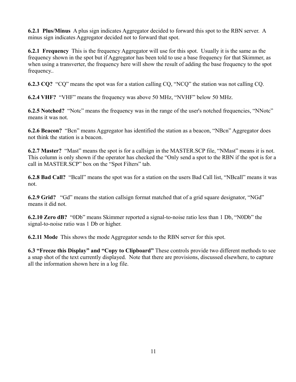**6.2.1 Plus/Minus** A plus sign indicates Aggregator decided to forward this spot to the RBN server. A minus sign indicates Aggregator decided not to forward that spot.

**6.2.1 Frequency** This is the frequency Aggregator will use for this spot. Usually it is the same as the frequency shown in the spot but if Aggregator has been told to use a base frequency for that Skimmer, as when using a transverter, the frequency here will show the result of adding the base frequency to the spot frequency..

**6.2.3 CQ?** "CQ" means the spot was for a station calling CQ, "NCQ" the station was not calling CQ.

**6.2.4 VHF?** "VHF" means the frequency was above 50 MHz, "NVHF" below 50 MHz.

**6.2.5 Notched?** "Notc" means the frequency was in the range of the user's notched frequencies, "NNotc" means it was not.

**6.2.6 Beacon?** "Bcn" means Aggregator has identified the station as a beacon, "NBcn" Aggregator does not think the station is a beacon.

**6.2.7 Master?** "Mast" means the spot is for a callsign in the MASTER.SCP file, "NMast" means it is not. This column is only shown if the operator has checked the "Only send a spot to the RBN if the spot is for a call in MASTER.SCP" box on the "Spot Filters" tab.

**6.2.8 Bad Call?** "Bcall" means the spot was for a station on the users Bad Call list, "NBcall" means it was not.

**6.2.9 Grid?** "Gd" means the station callsign format matched that of a grid square designator, "NGd" means it did not.

**6.2.10 Zero dB?** "0Db" means Skimmer reported a signal-to-noise ratio less than 1 Db, "N0Db" the signal-to-noise ratio was 1 Db or higher.

**6.2.11 Mode** This shows the mode Aggregator sends to the RBN server for this spot.

**6.3 "Freeze this Display" and "Copy to Clipboard"** These controls provide two different methods to see a snap shot of the text currently displayed. Note that there are provisions, discussed elsewhere, to capture all the information shown here in a log file.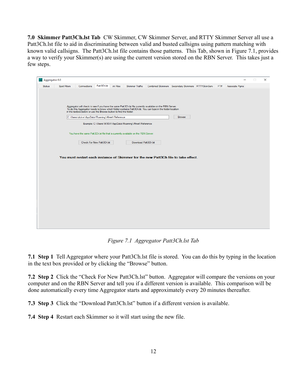**7.0 Skimmer Patt3Ch.lst Tab** CW Skimmer, CW Skimmer Server, and RTTY Skimmer Server all use a Patt3Ch.lst file to aid in discriminating between valid and busted callsigns using pattern matching with known valid callsigns. The Patt3Ch.lst file contains those patterns. This Tab, shown in Figure 7.1, provides a way to verify your Skimmer(s) are using the current version stored on the RBN Server. This takes just a few steps.

| Aggregator 6.0 |                     |                                                                   |                           |           |                                                                                   |                                                                                                            |                                                   |     |                | $\Box$ | $\times$ |
|----------------|---------------------|-------------------------------------------------------------------|---------------------------|-----------|-----------------------------------------------------------------------------------|------------------------------------------------------------------------------------------------------------|---------------------------------------------------|-----|----------------|--------|----------|
| <b>Status</b>  | <b>Spot Filters</b> | Connections                                                       | Patt3Ch.lst               | ini Files | <b>Skimmer Traffic</b>                                                            |                                                                                                            | Combined Skimmers Secondary Skimmers RTTYSkimServ | FT# | Associate Pgms |        |          |
|                |                     |                                                                   |                           |           |                                                                                   |                                                                                                            |                                                   |     |                |        |          |
|                |                     |                                                                   |                           |           |                                                                                   |                                                                                                            |                                                   |     |                |        |          |
|                |                     |                                                                   |                           |           |                                                                                   |                                                                                                            |                                                   |     |                |        |          |
|                |                     |                                                                   |                           |           |                                                                                   | Aggregator will check to see if you have the same Patt3Ch.Ist file currently available on the RBN Server.  |                                                   |     |                |        |          |
|                |                     | in the textbox below or use the Browse button to find the folder. |                           |           |                                                                                   | To do this Aggregator needs to know which folder contains Patt3Ch.lst. You can type in the folder location |                                                   |     |                |        |          |
|                |                     | C:\Users\dickw\AppData\Roaming\Afreet\Reference                   |                           |           |                                                                                   |                                                                                                            | <b>Browse</b>                                     |     |                |        |          |
|                |                     |                                                                   |                           |           | Example: C:\Users\W3OA\AppData\Roaming\Afreet\Reference                           |                                                                                                            |                                                   |     |                |        |          |
|                |                     |                                                                   |                           |           |                                                                                   |                                                                                                            |                                                   |     |                |        |          |
|                |                     |                                                                   |                           |           | You have the same Patt3Ch.Ist file that is currently available on the RBN Server. |                                                                                                            |                                                   |     |                |        |          |
|                |                     |                                                                   |                           |           |                                                                                   |                                                                                                            |                                                   |     |                |        |          |
|                |                     |                                                                   | Check For New Patt3Ch.Ist |           | Download Patt3Ch.lst                                                              |                                                                                                            |                                                   |     |                |        |          |
|                |                     |                                                                   |                           |           |                                                                                   |                                                                                                            |                                                   |     |                |        |          |
|                |                     |                                                                   |                           |           |                                                                                   |                                                                                                            |                                                   |     |                |        |          |
|                |                     |                                                                   |                           |           |                                                                                   | You must restart each instance of Skimmer for the new Patt3Ch file to take effect.                         |                                                   |     |                |        |          |
|                |                     |                                                                   |                           |           |                                                                                   |                                                                                                            |                                                   |     |                |        |          |
|                |                     |                                                                   |                           |           |                                                                                   |                                                                                                            |                                                   |     |                |        |          |
|                |                     |                                                                   |                           |           |                                                                                   |                                                                                                            |                                                   |     |                |        |          |
|                |                     |                                                                   |                           |           |                                                                                   |                                                                                                            |                                                   |     |                |        |          |
|                |                     |                                                                   |                           |           |                                                                                   |                                                                                                            |                                                   |     |                |        |          |
|                |                     |                                                                   |                           |           |                                                                                   |                                                                                                            |                                                   |     |                |        |          |
|                |                     |                                                                   |                           |           |                                                                                   |                                                                                                            |                                                   |     |                |        |          |
|                |                     |                                                                   |                           |           |                                                                                   |                                                                                                            |                                                   |     |                |        |          |
|                |                     |                                                                   |                           |           |                                                                                   |                                                                                                            |                                                   |     |                |        |          |
|                |                     |                                                                   |                           |           |                                                                                   |                                                                                                            |                                                   |     |                |        |          |
|                |                     |                                                                   |                           |           |                                                                                   |                                                                                                            |                                                   |     |                |        |          |
|                |                     |                                                                   |                           |           |                                                                                   |                                                                                                            |                                                   |     |                |        |          |
|                |                     |                                                                   |                           |           |                                                                                   |                                                                                                            |                                                   |     |                |        |          |

*Figure 7.1 Aggregator Patt3Ch.lst Tab*

**7.1 Step 1** Tell Aggregator where your Patt3Ch.lst file is stored. You can do this by typing in the location in the text box provided or by clicking the "Browse" button.

**7.2 Step 2** Click the "Check For New Patt3Ch.lst" button. Aggregator will compare the versions on your computer and on the RBN Server and tell you if a different version is available. This comparison will be done automatically every time Aggregator starts and approximately every 20 minutes thereafter.

**7.3 Step 3** Click the "Download Patt3Ch.lst" button if a different version is available.

**7.4 Step 4** Restart each Skimmer so it will start using the new file.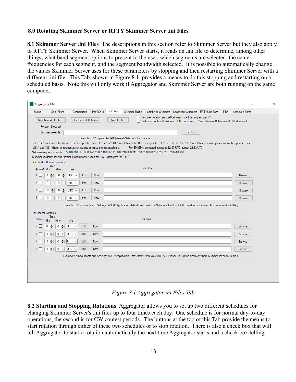#### **8.0 Rotating Skimmer Server or RTTY Skimmer Server .ini Files**

**8.1 Skimmer Server .ini Files** The descriptions in this section refer to Skimmer Server but they also apply to RTTY Skimmer Server. When Skimmer Server starts, it reads an .ini file to determine, among other things, what band segment options to present to the user, which segments are selected, the center frequencies for each segment, and the segment bandwidth selected. It is possible to automatically change the values Skimmer Server uses for these parameters by stopping and then restarting Skimmer Server with a different .ini file. This Tab, shown in Figure 8.1, provides a means to do this stopping and restarting on a scheduled basis. Note this will only work if Aggregator and Skimmer Server are both running on the same computer.

| <b>Status</b>          | Aggregator 6.0<br>Spot Filters                                                   | Connections                        | Patt3Ch.lst | ini Files                                                                                                                                                                                                                                                           | <b>Skimmer Traffic</b> |                                                                                              | Combined Skimmers   Secondary Skimmers   RTTYSkimServ                                                                                               |               | FT# | Associate Pgms |  |
|------------------------|----------------------------------------------------------------------------------|------------------------------------|-------------|---------------------------------------------------------------------------------------------------------------------------------------------------------------------------------------------------------------------------------------------------------------------|------------------------|----------------------------------------------------------------------------------------------|-----------------------------------------------------------------------------------------------------------------------------------------------------|---------------|-----|----------------|--|
|                        | <b>Start Normal Rotation</b>                                                     | <b>Start Contest Rotation</b>      |             | Stop Rotation                                                                                                                                                                                                                                                       |                        | Resume Rotation automatically next time this program starts?                                 |                                                                                                                                                     |               |     |                |  |
|                        |                                                                                  |                                    |             |                                                                                                                                                                                                                                                                     |                        | Switch to Contest Rotation at 00:00 Saturday (UTC) and Normal Rotation at 00:00 Monday (UTC) |                                                                                                                                                     |               |     |                |  |
|                        | Rotation Stopped                                                                 |                                    |             |                                                                                                                                                                                                                                                                     |                        |                                                                                              |                                                                                                                                                     |               |     |                |  |
|                        | Skimmer .exe File:                                                               |                                    |             |                                                                                                                                                                                                                                                                     |                        |                                                                                              |                                                                                                                                                     | <b>Browse</b> |     |                |  |
|                        |                                                                                  |                                    |             | Example: C:\Program Files (x86)\Afreet\SkimSrv\SkimSrv.exe<br>The "Use" combo box tells how to use the specified time. If 'Use" is "UTC" ini rotates at the UTC time specified. If "Use" is "SR+" or "SR-" ini rotates at sunrise plus or minus the specified time. |                        |                                                                                              |                                                                                                                                                     |               |     |                |  |
|                        | "SS+" and "SS-" direct .ini rotation at sunset plus or minus the specified time. |                                    |             |                                                                                                                                                                                                                                                                     |                        | For EM95MN estimated sunrise is 12:27 UTC, sunset 22:13 UTC.                                 |                                                                                                                                                     |               |     |                |  |
|                        |                                                                                  |                                    |             | Skimmer frequency band(s): 3500.0-3600.0, 7000.0-7125.0, 14000.0-14150.0, 21000.0-21182.0, 28000.0-28182.0, 28182.0-28300.0                                                                                                                                         |                        |                                                                                              |                                                                                                                                                     |               |     |                |  |
|                        |                                                                                  |                                    |             | Skimmer validation level is Normal. Recommend Normal for CW, Aggressive for RTTY.                                                                                                                                                                                   |                        |                                                                                              |                                                                                                                                                     |               |     |                |  |
|                        | .ini Files for Normal Operation<br>Time                                          |                                    |             |                                                                                                                                                                                                                                                                     |                        |                                                                                              |                                                                                                                                                     |               |     |                |  |
| Active? Hrs            | Mins                                                                             | Use                                |             |                                                                                                                                                                                                                                                                     |                        | ini Files                                                                                    |                                                                                                                                                     |               |     |                |  |
| п                      | 0<br>÷<br>0<br>÷                                                                 | UTC $\sim$<br>Edit                 | Now         |                                                                                                                                                                                                                                                                     |                        |                                                                                              |                                                                                                                                                     |               |     | <b>Browse</b>  |  |
| 2 I                    | ÷<br>0<br>÷<br>0                                                                 | <b>UTC</b><br>Edit<br>$\checkmark$ | Now         |                                                                                                                                                                                                                                                                     |                        |                                                                                              |                                                                                                                                                     |               |     | <b>Browse</b>  |  |
| 3                      | ÷<br>0<br>0<br>÷                                                                 | Edit<br><b>UTC</b><br>$\sim$       | Now         |                                                                                                                                                                                                                                                                     |                        |                                                                                              |                                                                                                                                                     |               |     | <b>Browse</b>  |  |
| 4                      | $\left  \div \right $<br>0<br>H<br>0                                             | Edit<br>UTC<br>$\checkmark$        | Now         |                                                                                                                                                                                                                                                                     |                        |                                                                                              |                                                                                                                                                     |               |     | <b>Browse</b>  |  |
|                        |                                                                                  |                                    |             | Example: C:\Documents and Settings\W3OA\Application Data\Afreet\Products\SkimSrv\SkimSrv1.ini (In the directory where Skimmer saves its .ini file.)                                                                                                                 |                        |                                                                                              |                                                                                                                                                     |               |     |                |  |
| ini Files for Contests |                                                                                  |                                    |             |                                                                                                                                                                                                                                                                     |                        |                                                                                              |                                                                                                                                                     |               |     |                |  |
| Active?                | Time<br><b>H<sub>rs</sub></b><br>Mins                                            | <b>Use</b>                         |             |                                                                                                                                                                                                                                                                     |                        | ini Files                                                                                    |                                                                                                                                                     |               |     |                |  |
| 5                      | ╞<br>0<br>÷<br>0                                                                 | UTC $\sim$<br>Edit                 | <b>Now</b>  |                                                                                                                                                                                                                                                                     |                        |                                                                                              |                                                                                                                                                     |               |     | <b>Browse</b>  |  |
|                        | ÷<br>0<br>÷<br>0                                                                 | Edit<br><b>UTC</b><br>$\sim$       | <b>Now</b>  |                                                                                                                                                                                                                                                                     |                        |                                                                                              |                                                                                                                                                     |               |     | <b>Browse</b>  |  |
|                        | $\div$<br>0<br>÷<br>0                                                            | UTC<br>Edit                        | Now         |                                                                                                                                                                                                                                                                     |                        |                                                                                              |                                                                                                                                                     |               |     | <b>Browse</b>  |  |
| 8                      | $0 \Leftrightarrow$<br>0<br>$\left  \right $                                     | UTC $\sim$<br>Edit                 | <b>Now</b>  |                                                                                                                                                                                                                                                                     |                        |                                                                                              |                                                                                                                                                     |               |     | <b>Browse</b>  |  |
|                        |                                                                                  |                                    |             |                                                                                                                                                                                                                                                                     |                        |                                                                                              | Example: C:\Documents and Settings\W3OA\Application Data\Afreet\Products\SkimSrv\SkimSrv1.ini (In the directory where Skimmer saves its .ini file.) |               |     |                |  |
|                        |                                                                                  |                                    |             |                                                                                                                                                                                                                                                                     |                        |                                                                                              |                                                                                                                                                     |               |     |                |  |

*Figure 8.1 Aggregator ini Files Tab*

**8.2 Starting and Stopping Rotations** Aggregator allows you to set up two different schedules for changing Skimmer Server's .ini files up to four times each day. One schedule is for normal day-to-day operations, the second is for CW contest periods. The buttons at the top of this Tab provide the means to start rotation through either of these two schedules or to stop rotation. There is also a check box that will tell Aggregator to start a rotation automatically the next time Aggregator starts and a check box telling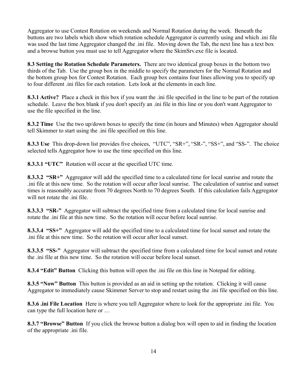Aggregator to use Contest Rotation on weekends and Normal Rotation during the week. Beneath the buttons are two labels which show which rotation schedule Aggregator is currently using and which .ini file was used the last time Aggregator changed the .ini file. Moving down the Tab, the next line has a text box and a browse button you must use to tell Aggregator where the SkimSrv.exe file is located.

**8.3 Setting the Rotation Schedule Parameters.** There are two identical group boxes in the bottom two thirds of the Tab. Use the group box in the middle to specify the parameters for the Normal Rotation and the bottom group box for Contest Rotation. Each group box contains four lines allowing you to specify up to four different .ini files for each rotation. Lets look at the elements in each line.

**8.3.1 Active?** Place a check in this box if you want the .ini file specified in the line to be part of the rotation schedule. Leave the box blank if you don't specify an .ini file in this line or you don't want Aggregator to use the file specified in the line.

**8.3.2 Time** Use the two up/down boxes to specify the time (in hours and Minutes) when Aggregator should tell Skimmer to start using the .ini file specified on this line.

**8.3.3 Use** This drop-down list provides five choices, "UTC", "SR+", "SR-", "SS+", and "SS-". The choice selected tells Aggregator how to use the time specified on this line.

**8.3.3.1 "UTC"** Rotation will occur at the specified UTC time.

**8.3.3.2 "SR+"** Aggregator will add the specified time to a calculated time for local sunrise and rotate the .ini file at this new time. So the rotation will occur after local sunrise. The calculation of sunrise and sunset times is reasonably accurate from 70 degrees North to 70 degrees South. If this calculation fails Aggregator will not rotate the .ini file.

**8.3.3.3 "SR-"** Aggregator will subtract the specified time from a calculated time for local sunrise and rotate the .ini file at this new time. So the rotation will occur before local sunrise.

**8.3.3.4 "SS+"** Aggregator will add the specified time to a calculated time for local sunset and rotate the .ini file at this new time. So the rotation will occur after local sunset.

**8.3.3.5 "SS-"** Aggregator will subtract the specified time from a calculated time for local sunset and rotate the .ini file at this new time. So the rotation will occur before local sunset.

**8.3.4 "Edit" Button** Clicking this button will open the .ini file on this line in Notepad for editing.

**8.3.5 "Now" Button** This button is provided as an aid in setting up the rotation. Clicking it will cause Aggregator to immediately cause Skimmer Server to stop and restart using the .ini file specified on this line.

**8.3.6 .ini File Location** Here is where you tell Aggregator where to look for the appropriate .ini file. You can type the full location here or …

**8.3.7 "Browse" Button** If you click the browse button a dialog box will open to aid in finding the location of the appropriate .ini file.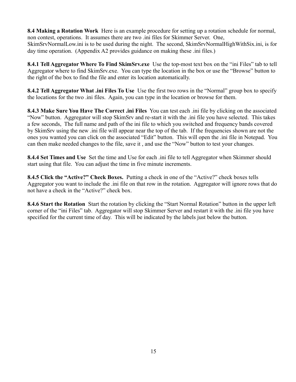**8.4 Making a Rotation Work** Here is an example procedure for setting up a rotation schedule for normal, non contest, operations. It assumes there are two .ini files for Skimmer Server. One,

SkimSrvNormalLow.ini is to be used during the night. The second, SkimSrvNormalHighWithSix.ini, is for day time operation. (Appendix A2 provides guidance on making these .ini files.)

**8.4.1 Tell Aggregator Where To Find SkimSrv.exe** Use the top-most text box on the "ini Files" tab to tell Aggregator where to find SkimSrv.exe. You can type the location in the box or use the "Browse" button to the right of the box to find the file and enter its location automatically.

**8.4.2 Tell Aggregator What .ini Files To Use** Use the first two rows in the "Normal" group box to specify the locations for the two .ini files. Again, you can type in the location or browse for them.

**8.4.3 Make Sure You Have The Correct .ini Files** You can test each .ini file by clicking on the associated "Now" button. Aggregator will stop SkimSrv and re-start it with the .ini file you have selected. This takes a few seconds, The full name and path of the ini file to which you switched and frequency bands covered by SkimSrv using the new .ini file will appear near the top of the tab. If the frequencies shown are not the ones you wanted you can click on the associated "Edit" button. This will open the .ini file in Notepad. You can then make needed changes to the file, save it , and use the "Now" button to test your changes.

**8.4.4 Set Times and Use** Set the time and Use for each .ini file to tell Aggregator when Skimmer should start using that file. You can adjust the time in five minute increments.

**8.4.5 Click the "Active?" Check Boxes.** Putting a check in one of the "Active?" check boxes tells Aggregator you want to include the .ini file on that row in the rotation. Aggregator will ignore rows that do not have a check in the "Active?" check box.

**8.4.6 Start the Rotation** Start the rotation by clicking the "Start Normal Rotation" button in the upper left corner of the "ini Files" tab. Aggregator will stop Skimmer Server and restart it with the .ini file you have specified for the current time of day. This will be indicated by the labels just below the button.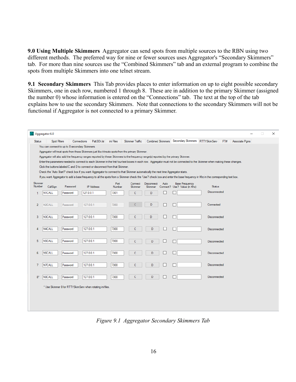**9.0 Using Multiple Skimmers** Aggregator can send spots from multiple sources to the RBN using two different methods. The preferred way for nine or fewer sources uses Aggregator's "Secondary Skimmers" tab. For more than nine sources use the "Combined Skimmers" tab and an external program to combine the spots from multiple Skimmers into one telnet stream.

**9.1 Secondary Skimmers** This Tab provides places to enter information on up to eight possible secondary Skimmers, one in each row, numbered 1 through 8. These are in addition to the primary Skimmer (assigned the number 0) whose information is entered on the "Connections" tab. The text at the top of the tab explains how to use the secondary Skimmers. Note that connections to the secondary Skimmers will not be functional if Aggregator is not connected to a primary Skimmer.

| Aggregator 6.0           |                                                                                                                                                                                                                                                                                                                    |              |                                                           |           |                   |                |                        |                       |      |                                                       |               |     |                | п | $\times$ |
|--------------------------|--------------------------------------------------------------------------------------------------------------------------------------------------------------------------------------------------------------------------------------------------------------------------------------------------------------------|--------------|-----------------------------------------------------------|-----------|-------------------|----------------|------------------------|-----------------------|------|-------------------------------------------------------|---------------|-----|----------------|---|----------|
| <b>Status</b>            |                                                                                                                                                                                                                                                                                                                    | Spot Filters | Connections                                               |           | Patt3Ch.lst       | ini Files      | <b>Skimmer Traffic</b> |                       |      | Combined Skimmers Secondary Skimmers RTTYSkimServ     |               | FT# | Associate Pams |   |          |
|                          | You can connect to up to 8 secondary Skimmers.                                                                                                                                                                                                                                                                     |              |                                                           |           |                   |                |                        |                       |      |                                                       |               |     |                |   |          |
|                          | Aggregator will treat spots from these Skimmers just like it treats spots from the primary Skimmer.                                                                                                                                                                                                                |              |                                                           |           |                   |                |                        |                       |      |                                                       |               |     |                |   |          |
|                          | Aggregator will also add the frequency ranges reported by these Skimmers to the frequency range(s) reported by the primary Skimmer.<br>Enter the parameters needed to connect to each Skimmer in the first four text boxes in each row. Aggregator must not be connected to the Skimmer when making these changes. |              |                                                           |           |                   |                |                        |                       |      |                                                       |               |     |                |   |          |
|                          | Click the buttons labeled C and D to connect or disconnect from that Skimmer.                                                                                                                                                                                                                                      |              |                                                           |           |                   |                |                        |                       |      |                                                       |               |     |                |   |          |
|                          | Check the 'Auto Start?' check box if you want Aggregator to connect to that Skimmer automatically the next time Aggregator starts.                                                                                                                                                                                 |              |                                                           |           |                   |                |                        |                       |      |                                                       |               |     |                |   |          |
|                          | If you want Aggregator to add a base freguency to all the spots from a Skimmer check the 'Use?' check box and enter the base freguency in Khz in the corresponding text box.                                                                                                                                       |              |                                                           |           |                   |                |                        |                       |      |                                                       |               |     |                |   |          |
| <b>Skimmer</b><br>Number |                                                                                                                                                                                                                                                                                                                    | CallSign     | Password                                                  |           | <b>IP Address</b> | Port<br>Number | Connect<br>Skimmer     | Disconnect<br>Skimmer | Auto | <b>Base Frequency</b><br>Connect? Use? Value (in Khz) | <b>Status</b> |     |                |   |          |
| 1                        | N1CALL                                                                                                                                                                                                                                                                                                             |              | Password                                                  | 127.0.0.1 |                   | 7301           | Ċ                      | D                     |      |                                                       | Disconnected  |     |                |   |          |
|                          |                                                                                                                                                                                                                                                                                                                    |              |                                                           |           |                   |                |                        |                       |      |                                                       |               |     |                |   |          |
| $\overline{2}$           | N <sub>2</sub> CALL                                                                                                                                                                                                                                                                                                |              | Password                                                  | 127.0.0.1 |                   | 7350           |                        | D                     |      |                                                       | Connected     |     |                |   |          |
|                          |                                                                                                                                                                                                                                                                                                                    |              |                                                           |           |                   |                |                        |                       |      |                                                       |               |     |                |   |          |
| 3                        | N3CALL                                                                                                                                                                                                                                                                                                             |              | Password                                                  | 127.0.0.1 |                   | 7300           | c                      | D                     | □    |                                                       | Disconnected  |     |                |   |          |
|                          |                                                                                                                                                                                                                                                                                                                    |              |                                                           |           |                   |                |                        |                       |      |                                                       |               |     |                |   |          |
| 4                        | N4CALL                                                                                                                                                                                                                                                                                                             |              | Password                                                  | 127.0.0.1 |                   | 7300           | Ċ                      | D                     |      |                                                       | Disconnected  |     |                |   |          |
|                          |                                                                                                                                                                                                                                                                                                                    |              |                                                           |           |                   |                |                        |                       |      |                                                       |               |     |                |   |          |
| 5                        | N5CALL                                                                                                                                                                                                                                                                                                             |              | Password                                                  | 127.0.0.1 |                   | 7300           | c                      | D                     |      | $\vert \ \ \vert$                                     | Disconnected  |     |                |   |          |
|                          |                                                                                                                                                                                                                                                                                                                    |              |                                                           |           |                   |                |                        |                       |      |                                                       |               |     |                |   |          |
| 6                        | <b>N6CALL</b>                                                                                                                                                                                                                                                                                                      |              | Password                                                  | 127.0.0.1 |                   | 7300           | Ċ                      | D                     |      | П                                                     | Disconnected  |     |                |   |          |
|                          |                                                                                                                                                                                                                                                                                                                    |              |                                                           |           |                   |                |                        |                       |      |                                                       |               |     |                |   |          |
| 7                        | N7CALL                                                                                                                                                                                                                                                                                                             |              | Password                                                  | 127.0.0.1 |                   | 7300           | Ċ                      | D                     |      | П                                                     | Disconnected  |     |                |   |          |
|                          |                                                                                                                                                                                                                                                                                                                    |              |                                                           |           |                   |                |                        |                       |      |                                                       |               |     |                |   |          |
| $8*$                     | N8CALL                                                                                                                                                                                                                                                                                                             |              | Password                                                  | 127.0.0.1 |                   | 7300           | c                      | D                     |      |                                                       | Disconnected  |     |                |   |          |
|                          |                                                                                                                                                                                                                                                                                                                    |              | * Use Skimmer 8 for RTTYSkimServ when rotating ini files. |           |                   |                |                        |                       |      |                                                       |               |     |                |   |          |
|                          |                                                                                                                                                                                                                                                                                                                    |              |                                                           |           |                   |                |                        |                       |      |                                                       |               |     |                |   |          |
|                          |                                                                                                                                                                                                                                                                                                                    |              |                                                           |           |                   |                |                        |                       |      |                                                       |               |     |                |   |          |
|                          |                                                                                                                                                                                                                                                                                                                    |              |                                                           |           |                   |                |                        |                       |      |                                                       |               |     |                |   |          |
|                          |                                                                                                                                                                                                                                                                                                                    |              |                                                           |           |                   |                |                        |                       |      |                                                       |               |     |                |   |          |

*Figure 9.1 Aggregator Secondary Skimmers Tab*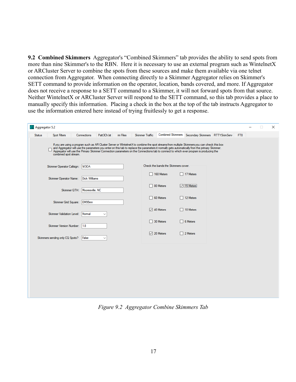**9.2 Combined Skimmers** Aggregator's "Combined Skimmers" tab provides the ability to send spots from more than nine Skimmer's to the RBN. Here it is necessary to use an external program such as WintelnetX or ARCluster Server to combine the spots from these sources and make them available via one telnet connection from Aggregator. When connecting directly to a Skimmer Aggregator relies on Skimmer's SETT command to provide information on the operator, location, bands covered, and more. If Aggregator does not receive a response to a SETT command to a Skimmer, it will not forward spots from that source. Neither WintelnetX or ARCluster Server will respond to the SETT command, so this tab provides a place to manually specify this information. Placing a check in the box at the top of the tab instructs Aggregator to use the information entered here instead of trying fruitlessly to get a response.

| Status | <b>Spot Filters</b>              | Connections                  | Patt3Ch.lst  | ini Files | <b>Skimmer Traffic</b> |                                     | Combined Skimmers Secondary Skimmers RTTYSkimServ                                                                                                                                                                                                                                                                                                                                                                                         | FT <sub>8</sub> |  |  |
|--------|----------------------------------|------------------------------|--------------|-----------|------------------------|-------------------------------------|-------------------------------------------------------------------------------------------------------------------------------------------------------------------------------------------------------------------------------------------------------------------------------------------------------------------------------------------------------------------------------------------------------------------------------------------|-----------------|--|--|
|        |                                  |                              |              |           |                        |                                     |                                                                                                                                                                                                                                                                                                                                                                                                                                           |                 |  |  |
|        | combined spot stream.            |                              |              |           |                        |                                     | If you are using a program such as AR Cluster Server or WintelnetX to combine the spot streams from multiple Skimmers you can check this box<br>and Aggregator will use the parameters you enter on this tab to replace the parameters it normally gets automatically from the primary Skimmer.<br>Aggregator will use the Primary Skimmer Connection parameters on the Connections tab to connect to which ever program is producing the |                 |  |  |
|        | Skimmer Operator Callsign: W3OA  |                              |              |           |                        | Check the bands the Skimmers cover. |                                                                                                                                                                                                                                                                                                                                                                                                                                           |                 |  |  |
|        | <b>Skimmer Operator Name:</b>    | <b>Dick Williams</b>         |              |           |                        | $\Box$ 160 Meters                   | 17 Meters                                                                                                                                                                                                                                                                                                                                                                                                                                 |                 |  |  |
|        |                                  | Skimmer QTH: Mooresville, NC |              |           |                        | $\Box$ 80 Meters                    | $\sqrt{$ 15 Meters                                                                                                                                                                                                                                                                                                                                                                                                                        |                 |  |  |
|        | Skimmer Grid Square:             | EM95mn                       |              |           |                        | $\Box$ 60 Meters                    | $\Box$ 12 Meters                                                                                                                                                                                                                                                                                                                                                                                                                          |                 |  |  |
|        |                                  |                              |              |           |                        | $\sqrt{ }$ 40 Meters                | $\Box$ 10 Meters                                                                                                                                                                                                                                                                                                                                                                                                                          |                 |  |  |
|        | Skimmer Validation Level: Normal |                              | $\checkmark$ |           |                        | $\Box$ 30 Meters                    | $\Box$ 6 Meters                                                                                                                                                                                                                                                                                                                                                                                                                           |                 |  |  |
|        | Skimmer Version Number: 1.8      |                              |              |           |                        |                                     |                                                                                                                                                                                                                                                                                                                                                                                                                                           |                 |  |  |
|        | Skimmers sending only CQ Spots?  | False                        | $\checkmark$ |           |                        | $\sqrt{20}$ Meters                  | $\Box$ 2 Meters                                                                                                                                                                                                                                                                                                                                                                                                                           |                 |  |  |
|        |                                  |                              |              |           |                        |                                     |                                                                                                                                                                                                                                                                                                                                                                                                                                           |                 |  |  |
|        |                                  |                              |              |           |                        |                                     |                                                                                                                                                                                                                                                                                                                                                                                                                                           |                 |  |  |
|        |                                  |                              |              |           |                        |                                     |                                                                                                                                                                                                                                                                                                                                                                                                                                           |                 |  |  |
|        |                                  |                              |              |           |                        |                                     |                                                                                                                                                                                                                                                                                                                                                                                                                                           |                 |  |  |
|        |                                  |                              |              |           |                        |                                     |                                                                                                                                                                                                                                                                                                                                                                                                                                           |                 |  |  |
|        |                                  |                              |              |           |                        |                                     |                                                                                                                                                                                                                                                                                                                                                                                                                                           |                 |  |  |

*Figure 9.2 Aggregator Combine Skimmers Tab*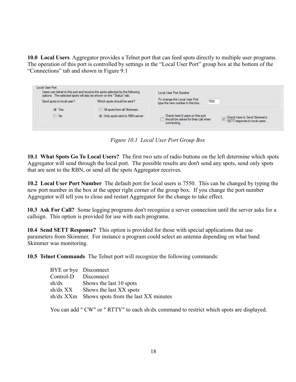**10.0 Local Users** Aggregator provides a Telnet port that can feed spots directly to multiple user programs. The operation of this port is controlled by settings in the "Local User Port" group box at the bottom of the "Connections" tab and shown in Figure 9.1

|                           | Users can telnet to this port and receive the spots selected by the following<br>options. The selected spots will also be shown on the "Status" tab. | Local User Port Number                                                                         |                                                               |  |  |
|---------------------------|------------------------------------------------------------------------------------------------------------------------------------------------------|------------------------------------------------------------------------------------------------|---------------------------------------------------------------|--|--|
| Send spots to local user? | Which spots should be sent?                                                                                                                          | <b>Statistics</b><br>To change the Local User Port<br>7550<br>type the new number in this box. |                                                               |  |  |
| O Yes                     | All spots from all Skimmers                                                                                                                          |                                                                                                |                                                               |  |  |
| $\circ$ No                | O Only spots sent to RBN server                                                                                                                      | Check here if users on this port<br>should be asked for their call when<br>connecting.         | Check here to Send Skimmer's<br>SETT response to local users. |  |  |

*Figure 10.1 Local User Port Group Box*

**10.1 What Spots Go To Local Users?** The first two sets of radio buttons on the left determine which spots Aggregator will send through the local port. The possible results are don't send any spots, send only spots that are sent to the RBN, or send all the spots Aggregator receives.

**10.2 Local User Port Number** The default port for local users is 7550. This can be changed by typing the new port number in the box at the upper right corner of the group box. If you change the port number Aggregator will tell you to close and restart Aggregator for the change to take effect.

**10.3 Ask For Call?** Some logging programs don't recognize a server connection until the server asks for a callsign. This option is provided for use with such programs.

**10.4 Send SETT Response?** This option is provided for those with special applications that use parameters from Skimmer. For instance a program could select an antenna depending on what band Skimmer was monitoring.

**10.5 Telnet Commands** The Telnet port will recognize the following commands:

| BYE or bye Disconnect |                                                |
|-----------------------|------------------------------------------------|
| Control-D Disconnect  |                                                |
| sh/dx                 | Shows the last 10 spots                        |
|                       | $sh/dx$ XX Shows the last XX spots             |
|                       | sh/dx XXm Shows spots from the last XX minutes |

You can add " CW" or " RTTY" to each sh/dx command to restrict which spots are displayed.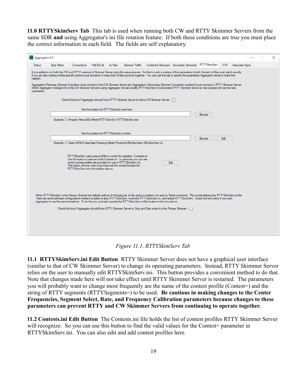**11.0 RTTYSkimServ Tab** This tab is used when running both CW and RTTY Skimmer Servers from the same SDR **and** using Aggregator's ini file rotation feature. If both these conditions are true you must place the correct information in each field. The fields are self explanatory.

| Aggregator 6.0                                                                                                                                                                                                                                                                                                                                                                                                                                                                                                                                                                                                                                                                                                                                                               |                                                                                                                                                                                                                                                                                                                                                 |             |                       |  |                 |                                                                                                                                                                                                                                                                                                                                                                                                                                                                                              |                                                       |  |     |                | п | $\times$ |
|------------------------------------------------------------------------------------------------------------------------------------------------------------------------------------------------------------------------------------------------------------------------------------------------------------------------------------------------------------------------------------------------------------------------------------------------------------------------------------------------------------------------------------------------------------------------------------------------------------------------------------------------------------------------------------------------------------------------------------------------------------------------------|-------------------------------------------------------------------------------------------------------------------------------------------------------------------------------------------------------------------------------------------------------------------------------------------------------------------------------------------------|-------------|-----------------------|--|-----------------|----------------------------------------------------------------------------------------------------------------------------------------------------------------------------------------------------------------------------------------------------------------------------------------------------------------------------------------------------------------------------------------------------------------------------------------------------------------------------------------------|-------------------------------------------------------|--|-----|----------------|---|----------|
| <b>Status</b>                                                                                                                                                                                                                                                                                                                                                                                                                                                                                                                                                                                                                                                                                                                                                                | Spot Filters                                                                                                                                                                                                                                                                                                                                    | Connections | Patt3Ch.Ist ini Files |  | Skimmer Traffic |                                                                                                                                                                                                                                                                                                                                                                                                                                                                                              | Combined Skimmers   Secondary Skimmers   RTTYSkimServ |  | FT# | Associate Pams |   |          |
| It is possible to run both the CW and RTTY versions of Skimmer Server using the same receiver. For this to work a number of the parameters in both Servers' ini files must match exactly.<br>If you are also rotating ini files specific actions must be taken to keep both ini files synched together. You can use this tab to specify the parameters Aggregator needs to make this<br>happen.<br>Aggregator's Primmary Skimmer Connetion must connect to the CW Skimmer Server and Aggregator's Secondary Skimmer Connection number 8 must connect to RTTY Skimmer Server.<br>When Aggregator changes the ini file CW Skimmer Server is using Aggregator will also modify RTTYSkimServ.ini and restart RTTY Skimmer Server so that program will use the new<br>parameters. |                                                                                                                                                                                                                                                                                                                                                 |             |                       |  |                 |                                                                                                                                                                                                                                                                                                                                                                                                                                                                                              |                                                       |  |     |                |   |          |
| Check this box if Aggregator should force RTTY Skimmer Server to follow CW Skimmer Server.                                                                                                                                                                                                                                                                                                                                                                                                                                                                                                                                                                                                                                                                                   |                                                                                                                                                                                                                                                                                                                                                 |             |                       |  |                 |                                                                                                                                                                                                                                                                                                                                                                                                                                                                                              |                                                       |  |     |                |   |          |
|                                                                                                                                                                                                                                                                                                                                                                                                                                                                                                                                                                                                                                                                                                                                                                              | Set the location for RTTYSkimServ.exe here.<br><b>Browse</b>                                                                                                                                                                                                                                                                                    |             |                       |  |                 |                                                                                                                                                                                                                                                                                                                                                                                                                                                                                              |                                                       |  |     |                |   |          |
|                                                                                                                                                                                                                                                                                                                                                                                                                                                                                                                                                                                                                                                                                                                                                                              | Example: C:\Program Files (x86)\Afreet\RTTYSkimSrv\RTTYSkimSrv.exe                                                                                                                                                                                                                                                                              |             |                       |  |                 |                                                                                                                                                                                                                                                                                                                                                                                                                                                                                              |                                                       |  |     |                |   |          |
|                                                                                                                                                                                                                                                                                                                                                                                                                                                                                                                                                                                                                                                                                                                                                                              | Set the location for RTTYSkimServ ini here.<br>Fdit<br><b>Browse</b>                                                                                                                                                                                                                                                                            |             |                       |  |                 |                                                                                                                                                                                                                                                                                                                                                                                                                                                                                              |                                                       |  |     |                |   |          |
|                                                                                                                                                                                                                                                                                                                                                                                                                                                                                                                                                                                                                                                                                                                                                                              | Example: C:\Users\W3OA\AppData\Roaming\Afreet\Products\RttySkimServ\RttySkimServ.ini                                                                                                                                                                                                                                                            |             |                       |  |                 |                                                                                                                                                                                                                                                                                                                                                                                                                                                                                              |                                                       |  |     |                |   |          |
|                                                                                                                                                                                                                                                                                                                                                                                                                                                                                                                                                                                                                                                                                                                                                                              | RTTYSkimServ uses a second file to control its operation, Contests.ini.<br>Use this button to read and edit Contests ini. In particular you can see<br>which contest profiles are provided for use in RTTYSkimServ.ini.<br>Edit<br>This button will only work if you have set the correct location for<br>RTTYSkimServ ini in the textbox above |             |                       |  |                 |                                                                                                                                                                                                                                                                                                                                                                                                                                                                                              |                                                       |  |     |                |   |          |
|                                                                                                                                                                                                                                                                                                                                                                                                                                                                                                                                                                                                                                                                                                                                                                              |                                                                                                                                                                                                                                                                                                                                                 |             |                       |  |                 |                                                                                                                                                                                                                                                                                                                                                                                                                                                                                              |                                                       |  |     |                |   |          |
|                                                                                                                                                                                                                                                                                                                                                                                                                                                                                                                                                                                                                                                                                                                                                                              |                                                                                                                                                                                                                                                                                                                                                 |             |                       |  |                 | When RTTYSkimServ is the Primary Skimmer the default method of changing its .ini file during a rotation is to send a Telnet command. This avoids altering the RTTYSkimServ.ini file.<br>There are some software configurations where it is better to stop RTTYSkimServ, overwrite RTTYSkimServ.ini, and restart RTTYSkimServ. Check the box below if you want<br>Aggregator to use this second method. To do this you must also specify the RTTYSkimSery ini file location in the box above. |                                                       |  |     |                |   |          |
|                                                                                                                                                                                                                                                                                                                                                                                                                                                                                                                                                                                                                                                                                                                                                                              |                                                                                                                                                                                                                                                                                                                                                 |             |                       |  |                 | Check this box if Aggregator should force RTTY Skimmer Server to Stop and Start when it is the Primary Skimmer.                                                                                                                                                                                                                                                                                                                                                                              |                                                       |  |     |                |   |          |
|                                                                                                                                                                                                                                                                                                                                                                                                                                                                                                                                                                                                                                                                                                                                                                              |                                                                                                                                                                                                                                                                                                                                                 |             |                       |  |                 |                                                                                                                                                                                                                                                                                                                                                                                                                                                                                              |                                                       |  |     |                |   |          |

*Figure 11.1, RTTYSkimServ Tab*

**11.1 RTTYSkimServ.ini Edit Button** RTTY Skimmer Server does not have a graphical user interface (similar to that of CW Skimmer Server) to change its operating parameters. Instead, RTTY Skimmer Server relies on the user to manually edit RTTYSkimServ.ini. This button provides a convenient method to do that. Note that changes made here will not take effect until RTTY Skimmer Server is restarted. The parameters you will probably want to change most frequently are the name of the contest profile (Contest=) and the string of RTTY segments (RTTYSegments=) to be used. **Be cautious in making changes to the Center Frequencies, Segment Select, Rate, and Frequency Calibration parameters because changes to these parameters can prevent RTTY and CW Skimmer Servers from continuing to operate together.**

**11.2 Contests.ini Edit Button** The Contests.ini file holds the list of contest profiles RTTY Skimmer Server will recognize. So you can use this button to find the valid values for the Contest= parameter in RTTYSkimServ.ini. You can also edit and add contest profiles here.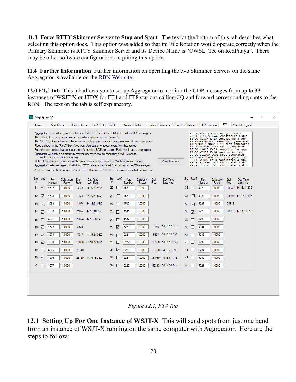**11.3 Force RTTY Skimmer Server to Stop and Start** The text at the bottom of this tab describes what selecting this option does. This option was added so that ini File Rotation would operate correctly when the Primary Skimmer is RTTY Skimmer Server and its Device Name is "CWSL\_Tee on RedPitaya". There may be other software configurations requiring this option.

**11.4 Further Information** Further information on operating the two Skimmer Servers on the same Aggregator is available on the [RBN Web site.](http://www.reversebeacon.net/)

**12.0 FT# Tab** This tab allows you to set up Aggregator to monitor the UDP messages from up to 33 instances of WSJT-X or JTDX for FT4 and FT8 stations calling CQ and forward corresponding spots to the RBN. The text on the tab is self explanatory.

|                                                                                                                                                                                                                                                                                                                                                                                                                                                                                                                                                                                                                                                                                                                                                                                                                                                                                                                                                                                                                                                                                                                                                                                                                                                                                                                                                                                                                                                                                       |                   | Aggregator 6.0        |                       |              |                       |                    |                   |                        |                              |              |                       |    |          |                                                       |                       |              |                       | П | $\times$ |
|---------------------------------------------------------------------------------------------------------------------------------------------------------------------------------------------------------------------------------------------------------------------------------------------------------------------------------------------------------------------------------------------------------------------------------------------------------------------------------------------------------------------------------------------------------------------------------------------------------------------------------------------------------------------------------------------------------------------------------------------------------------------------------------------------------------------------------------------------------------------------------------------------------------------------------------------------------------------------------------------------------------------------------------------------------------------------------------------------------------------------------------------------------------------------------------------------------------------------------------------------------------------------------------------------------------------------------------------------------------------------------------------------------------------------------------------------------------------------------------|-------------------|-----------------------|-----------------------|--------------|-----------------------|--------------------|-------------------|------------------------|------------------------------|--------------|-----------------------|----|----------|-------------------------------------------------------|-----------------------|--------------|-----------------------|---|----------|
| <b>Status</b>                                                                                                                                                                                                                                                                                                                                                                                                                                                                                                                                                                                                                                                                                                                                                                                                                                                                                                                                                                                                                                                                                                                                                                                                                                                                                                                                                                                                                                                                         |                   | <b>Spot Filters</b>   |                       | Connections  | Patt 3Ch Ist          | ini Files          |                   | <b>Skimmer Traffic</b> |                              |              |                       |    |          | Combined Skimmers   Secondary Skimmers   RTTYSkimServ |                       | FT#          | Associate Pams        |   |          |
| Aggregator can monitor up to 33 instances of WSJT-X for FT4 and FT8 spots via their UDP messages.<br>12 CQ W9LL EM13 spot generated<br>29 CQ KB1EFS FN42 considered a dup<br>The table below sets the parameters to use for each instance or "source".<br>11 CQ KJ4GK EM83 considered a dup<br>The "Src #" columns show the Source Number Aggregor uses to identify the source of spots it processes.<br>13 N7JFF KD9LZU R-06 spot generated<br>13 AC9HA KB9NHZ R-14 spot generated<br>Place a check in the "Use?" box if you want Aggregator to accept spots from that source.<br>13 CQ WASLIS EN61 spot generated<br>Enter the port number that source is using for sending UDP messages. Each should use a unique port.<br>29 CQ KK4LB EM79 considered a dup<br>13 CQ WOJRJ FM18 spot generated<br>Aggregator will apply a calibration factor you specify to the dial frequency WSJT-X reports.<br>29 CQ DL1UDO JO31 spot generated<br>Use 1.0 for a well calibited receiver.<br>13 PEOFK KB6MW R+01 spot generated<br>30 CQ W9DUJ EN63 considered a dup<br>Make all the needed changes to all the parameters and then click the "Apply Changes" button.<br><b>Apply Changes</b><br>18 CQ EA3FHP JN11 considered a dup<br>Aggregator treats messages that start with "CQ" or are in the format "call call report" as CQ messages.<br>18 CQ IU8DMZ JN70 considered a dup<br>Aggregator treats CQ message received within 10 minutes of the last CQ message from that call as a dup. |                   |                       |                       |              |                       |                    |                   |                        |                              |              |                       |    |          |                                                       |                       |              |                       |   |          |
| #                                                                                                                                                                                                                                                                                                                                                                                                                                                                                                                                                                                                                                                                                                                                                                                                                                                                                                                                                                                                                                                                                                                                                                                                                                                                                                                                                                                                                                                                                     | Src Use?          | Port<br><b>Number</b> | Calibration<br>Factor | Dial<br>Frea | Day Time<br>Last Msg. | #                  | Src Use?          | Port<br><b>Number</b>  | <b>Calibration</b><br>Factor | Dial<br>Freq | Day Time<br>Last Msg. | #  | Src Use? | Port<br>Number                                        | Calibration<br>Factor | Dial<br>Freq | Day Time<br>Last Msg. |   |          |
| 11                                                                                                                                                                                                                                                                                                                                                                                                                                                                                                                                                                                                                                                                                                                                                                                                                                                                                                                                                                                                                                                                                                                                                                                                                                                                                                                                                                                                                                                                                    | ☑                 | 4567                  | 1.0000                | 3573         | 14 16:21:59Z          | 22                 | J.                | 4578                   | 1.0000                       |              |                       | 33 | ∨        | 5226                                                  | 1.0000                |              | 10140 14 16:13:13Z    |   |          |
| 12 <sup>2</sup>                                                                                                                                                                                                                                                                                                                                                                                                                                                                                                                                                                                                                                                                                                                                                                                                                                                                                                                                                                                                                                                                                                                                                                                                                                                                                                                                                                                                                                                                       | ☑                 | 4568                  | 1.0000                |              | 7074 14 16:21:59Z     | 23 <sub>1</sub>    |                   | 4579                   | 1.0000                       |              |                       | 34 | ☑        | 5227                                                  | 1.0000                |              | 18104 14 16:17:44Z    |   |          |
| 13                                                                                                                                                                                                                                                                                                                                                                                                                                                                                                                                                                                                                                                                                                                                                                                                                                                                                                                                                                                                                                                                                                                                                                                                                                                                                                                                                                                                                                                                                    | ☑                 | 4569                  | 1.0000                |              | 14074 14 16:21:59Z    | 24                 |                   | 4580                   | 1.0000                       |              |                       | 35 | ☑        | 5228                                                  | 1.0000                | 24919        |                       |   |          |
| 14                                                                                                                                                                                                                                                                                                                                                                                                                                                                                                                                                                                                                                                                                                                                                                                                                                                                                                                                                                                                                                                                                                                                                                                                                                                                                                                                                                                                                                                                                    | $\triangledown$   | 4570                  | 1.0000                |              | 21074 14 16:16:29Z    | 25                 |                   | 4581                   | 1.0000                       |              |                       | 36 | ☑        | 5229                                                  | 1.0000                |              | 50318 14 14:48:51Z    |   |          |
| 15 <sub>1</sub>                                                                                                                                                                                                                                                                                                                                                                                                                                                                                                                                                                                                                                                                                                                                                                                                                                                                                                                                                                                                                                                                                                                                                                                                                                                                                                                                                                                                                                                                       | ▽                 | 4571                  | 1.0000                |              | 28074 14 16:20:14Z    | 26                 |                   | 4582                   | 1.0000                       |              |                       | 37 |          | 5230                                                  | 1.0000                |              |                       |   |          |
| $16$ $\vee$                                                                                                                                                                                                                                                                                                                                                                                                                                                                                                                                                                                                                                                                                                                                                                                                                                                                                                                                                                                                                                                                                                                                                                                                                                                                                                                                                                                                                                                                           |                   | 4572                  | 1.0000                | 3575         |                       | 27                 | $\overline{\vee}$ | 5220                   | 1.0000                       |              | 1840 14 14:12:44Z     | 38 |          | 5231                                                  | 1.0000                |              |                       |   |          |
| $17$ $\triangledown$                                                                                                                                                                                                                                                                                                                                                                                                                                                                                                                                                                                                                                                                                                                                                                                                                                                                                                                                                                                                                                                                                                                                                                                                                                                                                                                                                                                                                                                                  |                   | 4573                  | 1.0000                |              | 7047 14 15:24:36Z     | 28                 | ☑                 | 5221                   | 1.0000                       |              | 5357 14 16:15:59Z     | 39 |          | 5232                                                  | 1.0000                |              |                       |   |          |
| 18 <sup>1</sup>                                                                                                                                                                                                                                                                                                                                                                                                                                                                                                                                                                                                                                                                                                                                                                                                                                                                                                                                                                                                                                                                                                                                                                                                                                                                                                                                                                                                                                                                       | $\overline{\vee}$ | 4574                  | 1.0000                |              | 14080 14 16:22:06Z    | 29                 | ☑                 | 5222                   | 1.0000                       |              | 10136 14 16:21:59Z    | 40 |          | 5233                                                  | 1.0000                |              |                       |   |          |
| 19 <sup>°</sup>                                                                                                                                                                                                                                                                                                                                                                                                                                                                                                                                                                                                                                                                                                                                                                                                                                                                                                                                                                                                                                                                                                                                                                                                                                                                                                                                                                                                                                                                       | ▽                 | 4575                  | 1.0000                | 21140        |                       | 30 <sub>2</sub>    | ☑                 | 5223                   | 1.0000                       |              | 18100 14 16:21:59Z    | 41 |          | 5234                                                  | 1.0000                |              |                       |   |          |
| 20                                                                                                                                                                                                                                                                                                                                                                                                                                                                                                                                                                                                                                                                                                                                                                                                                                                                                                                                                                                                                                                                                                                                                                                                                                                                                                                                                                                                                                                                                    | $\vee$            | 4576                  | 1.0000                |              | 28180 14 16:19:28Z    | 31                 | ☑                 | 5224                   | 1.0000                       |              | 24915 14 16:01:14Z    | 42 |          | 5235                                                  | 1.0000                |              |                       |   |          |
| 21                                                                                                                                                                                                                                                                                                                                                                                                                                                                                                                                                                                                                                                                                                                                                                                                                                                                                                                                                                                                                                                                                                                                                                                                                                                                                                                                                                                                                                                                                    |                   | 4577                  | 1.0000                |              |                       | 32 $\triangledown$ |                   | 5225                   | 1.0000                       |              | 50313 14 12:54:14Z    | 43 |          | 5221                                                  | 1.0000                |              |                       |   |          |
|                                                                                                                                                                                                                                                                                                                                                                                                                                                                                                                                                                                                                                                                                                                                                                                                                                                                                                                                                                                                                                                                                                                                                                                                                                                                                                                                                                                                                                                                                       |                   |                       |                       |              |                       |                    |                   |                        |                              |              |                       |    |          |                                                       |                       |              |                       |   |          |
|                                                                                                                                                                                                                                                                                                                                                                                                                                                                                                                                                                                                                                                                                                                                                                                                                                                                                                                                                                                                                                                                                                                                                                                                                                                                                                                                                                                                                                                                                       |                   |                       |                       |              |                       |                    |                   |                        |                              |              |                       |    |          |                                                       |                       |              |                       |   |          |

*Figure 12.1, FT# Tab*

**12.1 Setting Up For One Instance of WSJT-X** This will send spots from just one band from an instance of WSJT-X running on the same computer with Aggregator. Here are the steps to follow: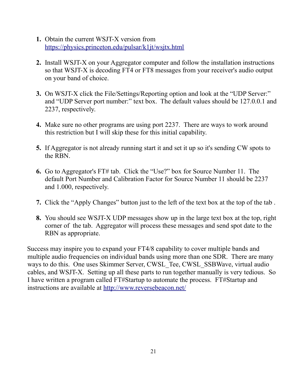- **1.** Obtain the current WSJT-X version from <https://physics.princeton.edu/pulsar/k1jt/wsjtx.html>
- **2.** Install WSJT-X on your Aggregator computer and follow the installation instructions so that WSJT-X is decoding FT4 or FT8 messages from your receiver's audio output on your band of choice.
- **3.** On WSJT-X click the File/Settings/Reporting option and look at the "UDP Server:" and "UDP Server port number:" text box. The default values should be 127.0.0.1 and 2237, respectively.
- **4.** Make sure no other programs are using port 2237. There are ways to work around this restriction but I will skip these for this initial capability.
- **5.** If Aggregator is not already running start it and set it up so it's sending CW spots to the RBN.
- **6.** Go to Aggregator's FT# tab. Click the "Use?" box for Source Number 11. The default Port Number and Calibration Factor for Source Number 11 should be 2237 and 1.000, respectively.
- **7.** Click the "Apply Changes" button just to the left of the text box at the top of the tab .
- **8.** You should see WSJT-X UDP messages show up in the large text box at the top, right corner of the tab. Aggregator will process these messages and send spot date to the RBN as appropriate.

Success may inspire you to expand your FT4/8 capability to cover multiple bands and multiple audio frequencies on individual bands using more than one SDR. There are many ways to do this. One uses Skimmer Server, CWSL\_Tee, CWSL\_SSBWave, virtual audio cables, and WSJT-X. Setting up all these parts to run together manually is very tedious. So I have written a program called FT#Startup to automate the process. FT#Startup and instructions are available at<http://www.reversebeacon.net/>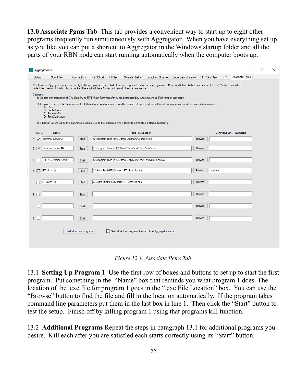**13.0 Associate Pgms Tab** This tab provides a convenient way to start up to eight other programs frequently run simultaneously with Aggregator. When you have everything set up as you like you can put a shortcut to Aggregator in the Windows startup folder and all the parts of your RBN node can start running automatically when the computer boots up.

| Aggregator 6.0                                                                                                                                                                                                                                                                                       |                               |             |           |                                                             |                                                            |                                                       |               |  |     |                                | П | × |
|------------------------------------------------------------------------------------------------------------------------------------------------------------------------------------------------------------------------------------------------------------------------------------------------------|-------------------------------|-------------|-----------|-------------------------------------------------------------|------------------------------------------------------------|-------------------------------------------------------|---------------|--|-----|--------------------------------|---|---|
| Spot Filters<br><b>Status</b>                                                                                                                                                                                                                                                                        | Connections                   | Patt3Ch.Ist | ini Files | <b>Skimmer Traffic</b>                                      |                                                            | Combined Skimmers   Secondary Skimmers   RTTYSkimServ |               |  | FT# | Associate Pgms                 |   |   |
|                                                                                                                                                                                                                                                                                                      |                               |             |           |                                                             |                                                            |                                                       |               |  |     |                                |   |   |
| You Can use Aggregator to start up to eight other programs. The "Start all active programs" feature starts programs at 15 second intervals that have a check in the "Active" box in the<br>order listed below. If the box isn't checked there will still be a 15 second delay in the start sequence. |                               |             |           |                                                             |                                                            |                                                       |               |  |     |                                |   |   |
| Cautions:<br>1) Do not start instances of CW SkimSrv or RTTYSkimServ here if they are being used by Aggregator's ini Files rotation capability.                                                                                                                                                      |                               |             |           |                                                             |                                                            |                                                       |               |  |     |                                |   |   |
| 2) If you are starting CW SkimSrv and RTTYSkimServ here to operate from the same SDR you must force the following parameters in the two .ini files to match:<br>A) Rate<br><b>B)</b> CenterFreas<br>C) SegmentSel<br>D) FreqCalibration                                                              |                               |             |           |                                                             |                                                            |                                                       |               |  |     |                                |   |   |
| 3) FT#StartUp should be the last Active program due to the extended time it takes to complete it's startup functions.                                                                                                                                                                                |                               |             |           |                                                             |                                                            |                                                       |               |  |     |                                |   |   |
| Active?<br>Name                                                                                                                                                                                                                                                                                      |                               |             |           | exe File Location                                           |                                                            |                                                       |               |  |     | <b>Command Line Parameters</b> |   |   |
| Skimmer Server #1<br>▽<br>1.                                                                                                                                                                                                                                                                         | Start                         |             |           | C:\Program Files (x86)\Afreet\SkimSrv\SkimSrv.exe           |                                                            |                                                       | <b>Browse</b> |  |     |                                |   |   |
| Skimmer Server #2<br>$2$ $\triangledown$                                                                                                                                                                                                                                                             | <b>Start</b>                  |             |           | C:\Program Files (x86)\Afreet\SkimSrv2\SkimSrv2.exe         |                                                            |                                                       | <b>Browse</b> |  |     |                                |   |   |
| <b>RTTY Skimmer Server</b><br>3                                                                                                                                                                                                                                                                      | Start                         |             |           | C:\Program Files (x86)\Afreet\RttySkimServ\RttySkimServ.exe |                                                            |                                                       | <b>Browse</b> |  |     |                                |   |   |
| FT#StartUp<br>$\sim$<br>4                                                                                                                                                                                                                                                                            | Start                         |             |           | C:\Ham Stuff\FT#Startup\FT#StartUp.exe                      |                                                            |                                                       | <b>Browse</b> |  |     |                                |   |   |
| FT#StartUp<br>5                                                                                                                                                                                                                                                                                      | <b>Start</b>                  |             |           | C:\Ham Stuff\FT#Startup\FT#StartUp.exe                      |                                                            |                                                       | <b>Browse</b> |  |     |                                |   |   |
| 6                                                                                                                                                                                                                                                                                                    | Start                         |             |           |                                                             |                                                            |                                                       | <b>Browse</b> |  |     |                                |   |   |
|                                                                                                                                                                                                                                                                                                      |                               |             |           |                                                             |                                                            |                                                       |               |  |     |                                |   |   |
| 7 <sub>1</sub>                                                                                                                                                                                                                                                                                       | Start                         |             |           |                                                             |                                                            |                                                       | <b>Browse</b> |  |     |                                |   |   |
| $8$ $\Box$                                                                                                                                                                                                                                                                                           | <b>Browse</b><br><b>Start</b> |             |           |                                                             |                                                            |                                                       |               |  |     |                                |   |   |
|                                                                                                                                                                                                                                                                                                      | Start all active programs     |             |           |                                                             | Start all Active programs the next time Aggregator starts. |                                                       |               |  |     |                                |   |   |
|                                                                                                                                                                                                                                                                                                      |                               |             |           |                                                             |                                                            |                                                       |               |  |     |                                |   |   |

*Figure 12.1, Associate Pgms Tab*

13.1 **Setting Up Program 1** Use the first row of boxes and buttons to set up to start the first program. Put something in the "Name" box that reminds you what program 1 does. The location of the .exe file for program 1 goes in the ".exe File Location" box. You can use the "Browse" button to find the file and fill in the location automatically. If the program takes command line parameters put them in the last box in line 1. Then click the "Start" button to test the setup. Finish off by killing program 1 using that programs kill function.

13.2 **Additional Programs** Repeat the steps in paragraph 13.1 for additional programs you desire. Kill each after you are satisfied each starts correctly using its "Start" button.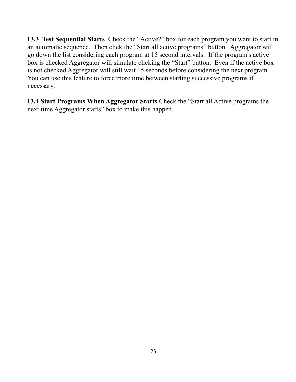**13.3 Test Sequential Starts** Check the "Active?" box for each program you want to start in an automatic sequence. Then click the "Start all active programs" button. Aggregator will go down the list considering each program at 15 second intervals. If the program's active box is checked Aggregator will simulate clicking the "Start" button. Even if the active box is not checked Aggregator will still wait 15 seconds before considering the next program. You can use this feature to force more time between starting successive programs if necessary.

**13.4 Start Programs When Aggregator Starts** Check the "Start all Active programs the next time Aggregator starts" box to make this happen.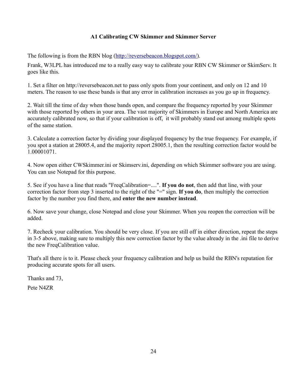# **A1 Calibrating CW Skimmer and Skimmer Server**

The following is from the RBN blog [\(http://reversebeacon.blogspot.com/\)](http://reversebeacon.blogspot.com/).

Frank, W3LPL has introduced me to a really easy way to calibrate your RBN CW Skimmer or SkimServ. It goes like this.

1. Set a filter on http://reversebeacon.net to pass only spots from your continent, and only on 12 and 10 meters. The reason to use these bands is that any error in calibration increases as you go up in frequency.

2. Wait till the time of day when those bands open, and compare the frequency reported by your Skimmer with those reported by others in your area. The vast majority of Skimmers in Europe and North America are accurately calibrated now, so that if your calibration is off, it will probably stand out among multiple spots of the same station.

3. Calculate a correction factor by dividing your displayed frequency by the true frequency. For example, if you spot a station at 28005.4, and the majority report 28005.1, then the resulting correction factor would be 1.00001071.

4. Now open either CWSkimmer.ini or Skimserv.ini, depending on which Skimmer software you are using. You can use Notepad for this purpose.

5. See if you have a line that reads "FreqCalibration=....". **If you do not**, then add that line, with your correction factor from step 3 inserted to the right of the "=" sign. **If you do**, then multiply the correction factor by the number you find there, and **enter the new number instead**.

6. Now save your change, close Notepad and close your Skimmer. When you reopen the correction will be added.

7. Recheck your calibration. You should be very close. If you are still off in either direction, repeat the steps in 3-5 above, making sure to multiply this new correction factor by the value already in the .ini file to derive the new FreqCalibration value.

That's all there is to it. Please check your frequency calibration and help us build the RBN's reputation for producing accurate spots for all users.

Thanks and 73, Pete N4ZR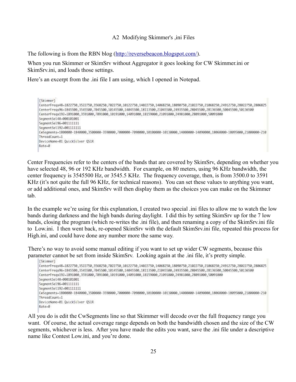#### A2 Modifying Skimmer's ,ini Files

The following is from the RBN blog [\(http://reversebeacon.blogspot.com/\)](http://reversebeacon.blogspot.com/).

When you run Skimmer or SkimSrv without Aggregator it goes looking for CW Skimmer.ini or SkimSrv.ini, and loads those settings.

Here's an excerpt from the .ini file I am using, which I opened in Notepad.

```
[Skimmer]
CenterFreqs48=1822750,3522750,3568250,7022750,10122750,14022750,14068250,18090750,21022750,21068250,24912750,28022750,2806825
CenterFreqs96-1845500,3545500,7045500,10145500,14045500,18113500,21045500,24935500,28045500,28136500,50045500,50136500
CenterFreqs192-1891000,3591000,7091000,10191000,14091000,18159000,21091000,24981000,28091000,50091000
Segment Se148-000101001
SegmentSe196-001111111
SegmentSel192=001111111
CwSegments=1800000-1840000,3500000-3590000,7000000-7090000,10100000-10130000,14000000-14090000,18068000-18095000,21000000-210
ThreadCount=1
DeviceName-01 QuickSilver QS1R
Rate-0
```
Center Frequencies refer to the centers of the bands that are covered by SkimSrv, depending on whether you have selected 48, 96 or 192 KHz bandwidth. For example, on 80 meters, using 96 KHz bandwidth, the center frequency is 3545500 Hz, or 3545.5 KHz. The frequency coverage, then, is from 3500.0 to 3591 KHz (it's not quite the full 96 KHz, for technical reasons). You can set these values to anything you want, or add additional ones, and SkimSrv will then display them as the choices you can make on the Skimmer tab.

In the example we're using for this explanation, I created two special .ini files to allow me to watch the low bands during darkness and the high bands during daylight. I did this by setting SkimSrv up for the 7 low bands, closing the program (which re-writes the .ini file), and then renaming a copy of the SkimSrv.ini file to Low.ini. I then went back, re-opened SkimSrv with the default SkimSrv.ini file, repeated this process for High.ini, and could have done any number more the same way.

There's no way to avoid some manual editing if you want to set up wider CW segments, because this parameter cannot be set from inside SkimSrv. Looking again at the .ini file, it's pretty simple.

```
[Skimmer]
CenterFreqs48=1822750,3522750,3568250,7022750,10122750,14022750,14068250,18090750,21022750,21068250,24912750,28022750,2806825
CenterFreqs96-1845500,3545500,7045500,10145500,14045500,18113500,21045500,24935500,28045500,28136500,50045500,50136500
CenterFreqs192-1891000.3591000.7091000.10191000.14091000.18159000.21091000.24981000.28091000.50091000
SegmentSe148-000101001
SegmentSel96-001111111
SegmentSel192=001111111
CwSegments=1800000-1840000.3500000-3590000.7000000-7090000.10100000-10130000.14000000-14090000.18068000-18095000.21000000-210
ThreadCount-1
DeviceName-01 QuickSilver QS1R
Rate-0
```
All you do is edit the CwSegments line so that Skimmer will decode over the full frequency range you want. Of course, the actual coverage range depends on both the bandwidth chosen and the size of the CW segments, whichever is less. After you have made the edits you want, save the .ini file under a descriptive name like Contest Low.ini, and you're done.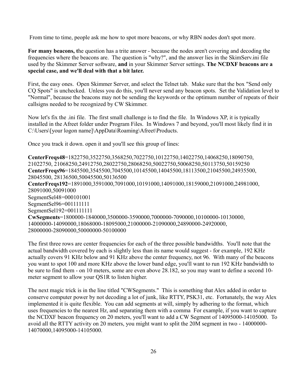From time to time, people ask me how to spot more beacons, or why RBN nodes don't spot more.

**For many beacons, t**he question has a trite answer - because the nodes aren't covering and decoding the frequencies where the beacons are. The question is "why?", and the answer lies in the SkimServ.ini file used by the Skimmer Server software, **and** in your Skimmer Server settings. **The NCDXF beacons are a special case, and we'll deal with that a bit later.**

First, the easy ones. Open Skimmer Server, and select the Telnet tab. Make sure that the box "Send only CQ Spots" is unchecked. Unless you do this, you'll never send any beacon spots. Set the Validation level to "Normal", because the beacons may not be sending the keywords or the optimum number of repeats of their callsigns needed to be recognized by CW Skimmer.

Now let's fix the .ini file. The first small challenge is to find the file. In Windows XP, it is typically installed in the Afreet folder under Program Files. In Windows 7 and beyond, you'll most likely find it in C:\Users\[your logon name]\AppData\Roaming\Afreet\Products.

Once you track it down. open it and you'll see this group of lines:

**CenterFreqs48**=1822750,3522750,3568250,7022750,10122750,14022750,14068250,18090750, 21022750, 21068250,24912750,28022750,28068250,50022750,50068250,50113750,50159250 **CenterFreqs96**=1845500,3545500,7045500,10145500,14045500,18113500,21045500,24935500, 28045500, 28136500,50045500,50136500 **CenterFreqs192**=1891000,3591000,7091000,10191000,14091000,18159000,21091000,24981000, 28091000,50091000 SegmentSel48=000101001 SegmentSel96=001111111 SegmentSel192=001111111 **CwSegments**=1800000-1840000,3500000-3590000,7000000-7090000,10100000-10130000, 14000000-14090000,18068000-18095000,21000000-21090000,24890000-24920000, 28000000-28090000,50000000-50100000

The first three rows are center frequencies for each of the three possible bandwidths. You'll note that the actual bandwidth covered by each is slightly less than its name would suggest - for example, 192 KHz actually covers 91 KHz below and 91 KHz above the center frequency, not 96. With many of the beacons you want to spot 100 and more KHz above the lower band edge, you'll want to run 192 KHz bandwidth to be sure to find them - on 10 meters, some are even above 28.182, so you may want to define a second 10 meter segment to allow your QS1R to listen higher.

The next magic trick is in the line titled "CWSegments." This is something that Alex added in order to conserve computer power by not decoding a lot of junk, like RTTY, PSK31, etc. Fortunately, the way Alex implemented it is quite flexible. You can add segments at will, simply by adhering to the format, which uses frequencies to the nearest Hz, and separating them with a comma For example, if you want to capture the NCDXF beacon frequency on 20 meters, you'll want to add a CW Segment of 14095000-14105000. To avoid all the RTTY activity on 20 meters, you might want to split the 20M segment in two - 14000000- 14070000,14095000-14105000.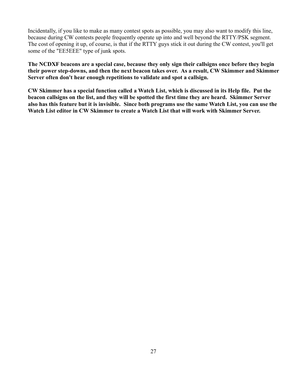Incidentally, if you like to make as many contest spots as possible, you may also want to modify this line, because during CW contests people frequently operate up into and well beyond the RTTY/PSK segment. The cost of opening it up, of course, is that if the RTTY guys stick it out during the CW contest, you'll get some of the "EE5EEE" type of junk spots.

**The NCDXF beacons are a special case, because they only sign their callsigns once before they begin their power step-downs, and then the next beacon takes over. As a result, CW Skimmer and Skimmer Server often don't hear enough repetitions to validate and spot a callsign.**

**CW Skimmer has a special function called a Watch List, which is discussed in its Help file. Put the beacon callsigns on the list, and they will be spotted the first time they are heard. Skimmer Server also has this feature but it is invisible. Since both programs use the same Watch List, you can use the Watch List editor in CW Skimmer to create a Watch List that will work with Skimmer Server.**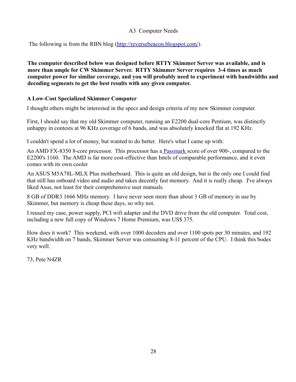### A3 Computer Needs

The following is from the RBN blog [\(http://reversebeacon.blogspot.com/\)](http://reversebeacon.blogspot.com/).

**The computer described below was designed before RTTY Skimmer Server was available, and is more than ample for CW Skimmer Server. RTTY Skimmer Server requires 3-4 times as much computer power for similar coverage, and you will probably need to experiment with bandwidths and decoding segments to get the best results with any given computer.**

#### **A Low-Cost Specialized Skimmer Computer**

I thought others might be interested in the specs and design criteria of my new Skimmer computer.

First, I should say that my old Skimmer computer, running an E2200 dual-core Pentium, was distinctly unhappy in contests at 96 KHz coverage of 6 bands, and was absolutely knocked flat at 192 KHz.

I couldn't spend a lot of money, but wanted to do better. Here's what I came up with:

An AMD FX-8350 8-core processor. This processor has [a Passmark s](http://www.cpubenchmark.net/cpu_list.php)core of over 900-, compared to the E2200's 1160. The AMD is far more cost-effective than Intels of comparable performance, and it even comes with its own cooler

An ASUS M5A78L-MLX Plus motherboard. This is quite an old design, but is the only one I could find that still has onboard video and audio and takes decently fast memory. And it is really cheap. I've always liked Asus, not least for their comprehensive user manuals.

8 GB of DDR3 1666 MHz memory. I have never seen more than about 3 GB of memory in use by Skimmer, but memory is cheap these days, so why not.

I reused my case, power supply, PCI wifi adapter and the DVD drive from the old computer. Total cost, including a new full copy of Windows 7 Home Premium, was US\$ 375.

How does it work? This weekend, with over 1000 decoders and over 1100 spots per 30 minutes, and 192 KHz bandwidth on 7 bands, Skimmer Server was consuming 8-11 percent of the CPU. I think this bodes very well.

73, Pete N4ZR